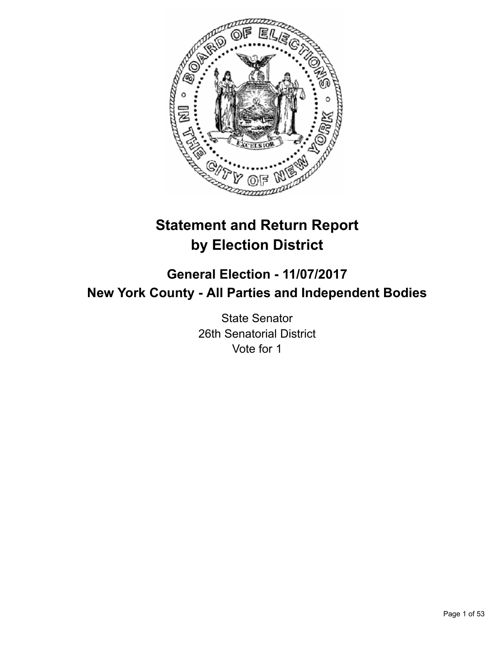

# **Statement and Return Report by Election District**

**General Election - 11/07/2017 New York County - All Parties and Independent Bodies**

> State Senator 26th Senatorial District Vote for 1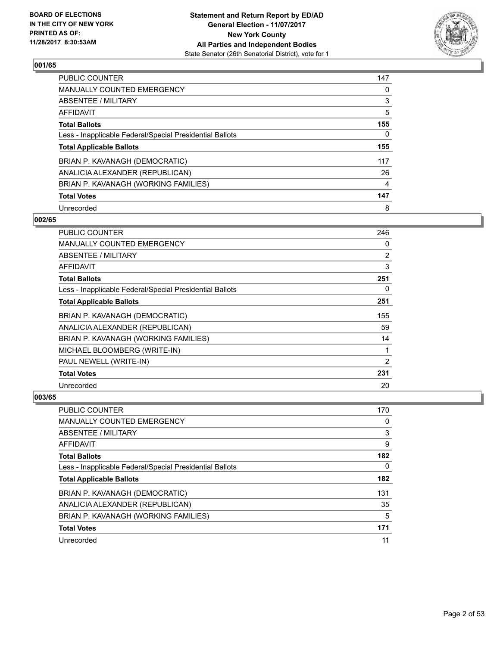

| <b>PUBLIC COUNTER</b>                                    | 147 |
|----------------------------------------------------------|-----|
| MANUALLY COUNTED EMERGENCY                               | 0   |
| ABSENTEE / MILITARY                                      | 3   |
| AFFIDAVIT                                                | 5   |
| <b>Total Ballots</b>                                     | 155 |
| Less - Inapplicable Federal/Special Presidential Ballots | 0   |
| <b>Total Applicable Ballots</b>                          | 155 |
| BRIAN P. KAVANAGH (DEMOCRATIC)                           | 117 |
| ANALICIA ALEXANDER (REPUBLICAN)                          | 26  |
| BRIAN P. KAVANAGH (WORKING FAMILIES)                     | 4   |
| <b>Total Votes</b>                                       | 147 |
| Unrecorded                                               | 8   |

#### **002/65**

| <b>PUBLIC COUNTER</b>                                    | 246 |
|----------------------------------------------------------|-----|
| <b>MANUALLY COUNTED EMERGENCY</b>                        | 0   |
| ABSENTEE / MILITARY                                      | 2   |
| AFFIDAVIT                                                | 3   |
| <b>Total Ballots</b>                                     | 251 |
| Less - Inapplicable Federal/Special Presidential Ballots | 0   |
| <b>Total Applicable Ballots</b>                          | 251 |
| BRIAN P. KAVANAGH (DEMOCRATIC)                           | 155 |
| ANALICIA ALEXANDER (REPUBLICAN)                          | 59  |
| BRIAN P. KAVANAGH (WORKING FAMILIES)                     | 14  |
| MICHAEL BLOOMBERG (WRITE-IN)                             | 1   |
| PAUL NEWELL (WRITE-IN)                                   | 2   |
| <b>Total Votes</b>                                       | 231 |
| Unrecorded                                               | 20  |

| PUBLIC COUNTER                                           | 170 |
|----------------------------------------------------------|-----|
| MANUALLY COUNTED EMERGENCY                               | 0   |
| ABSENTEE / MILITARY                                      | 3   |
| AFFIDAVIT                                                | 9   |
| <b>Total Ballots</b>                                     | 182 |
| Less - Inapplicable Federal/Special Presidential Ballots | 0   |
| <b>Total Applicable Ballots</b>                          | 182 |
| BRIAN P. KAVANAGH (DEMOCRATIC)                           | 131 |
| ANALICIA ALEXANDER (REPUBLICAN)                          | 35  |
| BRIAN P. KAVANAGH (WORKING FAMILIES)                     | 5   |
| <b>Total Votes</b>                                       | 171 |
| Unrecorded                                               | 11  |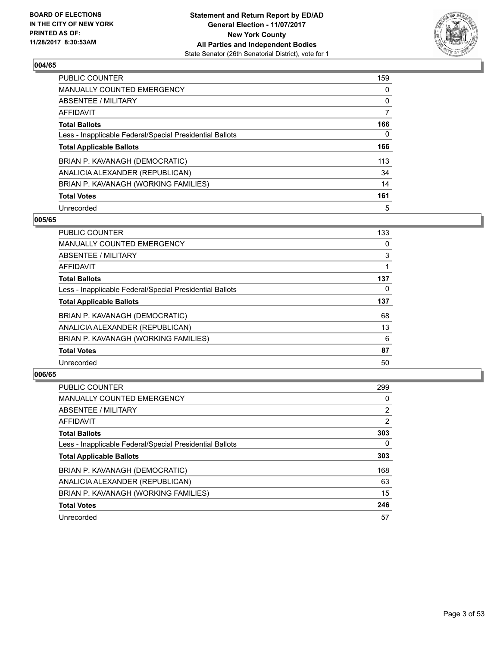

| <b>PUBLIC COUNTER</b>                                    | 159 |
|----------------------------------------------------------|-----|
| <b>MANUALLY COUNTED EMERGENCY</b>                        | 0   |
| ABSENTEE / MILITARY                                      | 0   |
| AFFIDAVIT                                                | 7   |
| <b>Total Ballots</b>                                     | 166 |
| Less - Inapplicable Federal/Special Presidential Ballots | 0   |
| <b>Total Applicable Ballots</b>                          | 166 |
| BRIAN P. KAVANAGH (DEMOCRATIC)                           | 113 |
| ANALICIA ALEXANDER (REPUBLICAN)                          | 34  |
| BRIAN P. KAVANAGH (WORKING FAMILIES)                     | 14  |
| <b>Total Votes</b>                                       | 161 |
| Unrecorded                                               | 5   |

#### **005/65**

| <b>PUBLIC COUNTER</b>                                    | 133 |
|----------------------------------------------------------|-----|
| <b>MANUALLY COUNTED EMERGENCY</b>                        | 0   |
| ABSENTEE / MILITARY                                      | 3   |
| <b>AFFIDAVIT</b>                                         |     |
| <b>Total Ballots</b>                                     | 137 |
| Less - Inapplicable Federal/Special Presidential Ballots | 0   |
| <b>Total Applicable Ballots</b>                          | 137 |
| BRIAN P. KAVANAGH (DEMOCRATIC)                           | 68  |
| ANALICIA ALEXANDER (REPUBLICAN)                          | 13  |
| BRIAN P. KAVANAGH (WORKING FAMILIES)                     | 6   |
| <b>Total Votes</b>                                       | 87  |
| Unrecorded                                               | 50  |

| <b>PUBLIC COUNTER</b>                                    | 299            |
|----------------------------------------------------------|----------------|
| <b>MANUALLY COUNTED EMERGENCY</b>                        | 0              |
| ABSENTEE / MILITARY                                      | $\overline{2}$ |
| AFFIDAVIT                                                | $\overline{2}$ |
| <b>Total Ballots</b>                                     | 303            |
| Less - Inapplicable Federal/Special Presidential Ballots | 0              |
| <b>Total Applicable Ballots</b>                          | 303            |
| BRIAN P. KAVANAGH (DEMOCRATIC)                           | 168            |
| ANALICIA ALEXANDER (REPUBLICAN)                          | 63             |
| BRIAN P. KAVANAGH (WORKING FAMILIES)                     | 15             |
| <b>Total Votes</b>                                       | 246            |
| Unrecorded                                               | 57             |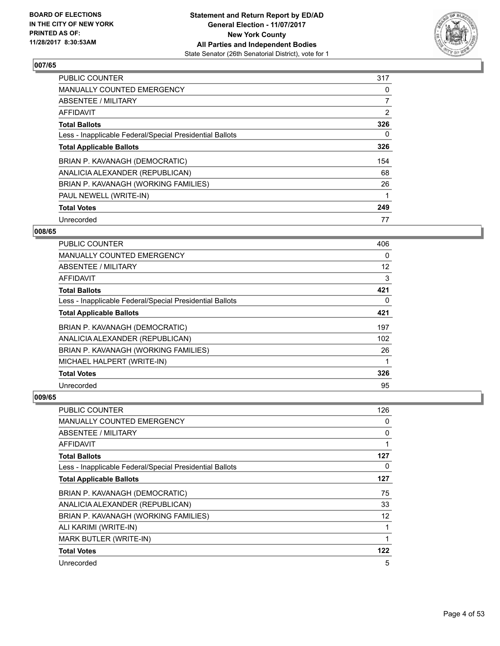

| PUBLIC COUNTER                                           | 317 |
|----------------------------------------------------------|-----|
| <b>MANUALLY COUNTED EMERGENCY</b>                        | 0   |
| ABSENTEE / MILITARY                                      | 7   |
| AFFIDAVIT                                                | 2   |
| <b>Total Ballots</b>                                     | 326 |
| Less - Inapplicable Federal/Special Presidential Ballots | 0   |
| <b>Total Applicable Ballots</b>                          | 326 |
| BRIAN P. KAVANAGH (DEMOCRATIC)                           | 154 |
| ANALICIA ALEXANDER (REPUBLICAN)                          | 68  |
| BRIAN P. KAVANAGH (WORKING FAMILIES)                     | 26  |
| PAUL NEWELL (WRITE-IN)                                   | 1   |
| <b>Total Votes</b>                                       | 249 |
| Unrecorded                                               | 77  |

# **008/65**

| <b>PUBLIC COUNTER</b>                                    | 406 |
|----------------------------------------------------------|-----|
| MANUALLY COUNTED EMERGENCY                               | 0   |
| ABSENTEE / MILITARY                                      | 12  |
| AFFIDAVIT                                                | 3   |
| <b>Total Ballots</b>                                     | 421 |
| Less - Inapplicable Federal/Special Presidential Ballots | 0   |
| <b>Total Applicable Ballots</b>                          | 421 |
| BRIAN P. KAVANAGH (DEMOCRATIC)                           | 197 |
| ANALICIA ALEXANDER (REPUBLICAN)                          | 102 |
| BRIAN P. KAVANAGH (WORKING FAMILIES)                     | 26  |
| MICHAEL HALPERT (WRITE-IN)                               |     |
| <b>Total Votes</b>                                       | 326 |
| Unrecorded                                               | 95  |

| PUBLIC COUNTER                                           | 126 |
|----------------------------------------------------------|-----|
| MANUALLY COUNTED EMERGENCY                               | 0   |
| ABSENTEE / MILITARY                                      | 0   |
| AFFIDAVIT                                                |     |
| <b>Total Ballots</b>                                     | 127 |
| Less - Inapplicable Federal/Special Presidential Ballots | 0   |
| <b>Total Applicable Ballots</b>                          | 127 |
| BRIAN P. KAVANAGH (DEMOCRATIC)                           | 75  |
| ANALICIA ALEXANDER (REPUBLICAN)                          | 33  |
| BRIAN P. KAVANAGH (WORKING FAMILIES)                     | 12  |
| ALI KARIMI (WRITE-IN)                                    | 1   |
| <b>MARK BUTLER (WRITE-IN)</b>                            |     |
| <b>Total Votes</b>                                       | 122 |
| Unrecorded                                               | 5   |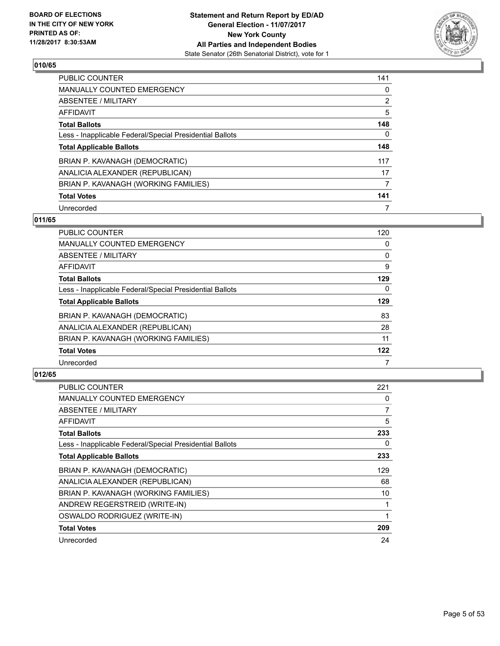

| <b>PUBLIC COUNTER</b>                                    | 141            |
|----------------------------------------------------------|----------------|
| <b>MANUALLY COUNTED EMERGENCY</b>                        | 0              |
| ABSENTEE / MILITARY                                      | $\overline{2}$ |
| AFFIDAVIT                                                | 5              |
| <b>Total Ballots</b>                                     | 148            |
| Less - Inapplicable Federal/Special Presidential Ballots | 0              |
| <b>Total Applicable Ballots</b>                          | 148            |
| BRIAN P. KAVANAGH (DEMOCRATIC)                           | 117            |
| ANALICIA ALEXANDER (REPUBLICAN)                          | 17             |
| BRIAN P. KAVANAGH (WORKING FAMILIES)                     | 7              |
| <b>Total Votes</b>                                       | 141            |
| Unrecorded                                               |                |

# **011/65**

| PUBLIC COUNTER                                           | 120 |
|----------------------------------------------------------|-----|
| <b>MANUALLY COUNTED EMERGENCY</b>                        | 0   |
| ABSENTEE / MILITARY                                      | 0   |
| <b>AFFIDAVIT</b>                                         | 9   |
| <b>Total Ballots</b>                                     | 129 |
| Less - Inapplicable Federal/Special Presidential Ballots | 0   |
| <b>Total Applicable Ballots</b>                          | 129 |
| BRIAN P. KAVANAGH (DEMOCRATIC)                           | 83  |
| ANALICIA ALEXANDER (REPUBLICAN)                          | 28  |
| BRIAN P. KAVANAGH (WORKING FAMILIES)                     | 11  |
| <b>Total Votes</b>                                       | 122 |
| Unrecorded                                               |     |

| PUBLIC COUNTER                                           | 221 |
|----------------------------------------------------------|-----|
| <b>MANUALLY COUNTED EMERGENCY</b>                        | 0   |
| ABSENTEE / MILITARY                                      | 7   |
| AFFIDAVIT                                                | 5   |
| <b>Total Ballots</b>                                     | 233 |
| Less - Inapplicable Federal/Special Presidential Ballots | 0   |
| <b>Total Applicable Ballots</b>                          | 233 |
| BRIAN P. KAVANAGH (DEMOCRATIC)                           | 129 |
| ANALICIA ALEXANDER (REPUBLICAN)                          | 68  |
| BRIAN P. KAVANAGH (WORKING FAMILIES)                     | 10  |
| ANDREW REGERSTREID (WRITE-IN)                            |     |
| OSWALDO RODRIGUEZ (WRITE-IN)                             |     |
| <b>Total Votes</b>                                       | 209 |
| Unrecorded                                               | 24  |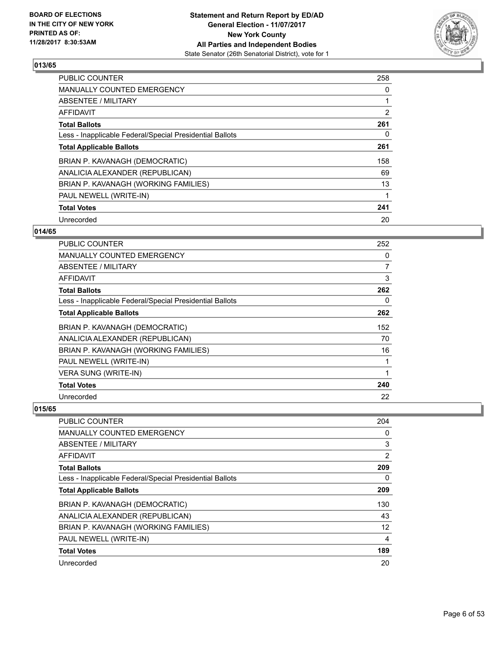

| <b>PUBLIC COUNTER</b>                                    | 258            |
|----------------------------------------------------------|----------------|
| <b>MANUALLY COUNTED EMERGENCY</b>                        | 0              |
| ABSENTEE / MILITARY                                      |                |
| AFFIDAVIT                                                | $\overline{2}$ |
| <b>Total Ballots</b>                                     | 261            |
| Less - Inapplicable Federal/Special Presidential Ballots | 0              |
| <b>Total Applicable Ballots</b>                          | 261            |
| BRIAN P. KAVANAGH (DEMOCRATIC)                           | 158            |
| ANALICIA ALEXANDER (REPUBLICAN)                          | 69             |
| BRIAN P. KAVANAGH (WORKING FAMILIES)                     | 13             |
| PAUL NEWELL (WRITE-IN)                                   | 1              |
| <b>Total Votes</b>                                       | 241            |
| Unrecorded                                               | 20             |

# **014/65**

| PUBLIC COUNTER                                           | 252 |
|----------------------------------------------------------|-----|
| MANUALLY COUNTED EMERGENCY                               | 0   |
| ABSENTEE / MILITARY                                      | 7   |
| <b>AFFIDAVIT</b>                                         | 3   |
| <b>Total Ballots</b>                                     | 262 |
| Less - Inapplicable Federal/Special Presidential Ballots | 0   |
| <b>Total Applicable Ballots</b>                          | 262 |
| BRIAN P. KAVANAGH (DEMOCRATIC)                           | 152 |
| ANALICIA ALEXANDER (REPUBLICAN)                          | 70  |
| BRIAN P. KAVANAGH (WORKING FAMILIES)                     | 16  |
| PAUL NEWELL (WRITE-IN)                                   | 1   |
| <b>VERA SUNG (WRITE-IN)</b>                              | 1   |
| <b>Total Votes</b>                                       | 240 |
| Unrecorded                                               | 22  |

| <b>PUBLIC COUNTER</b>                                    | 204 |
|----------------------------------------------------------|-----|
| MANUALLY COUNTED EMERGENCY                               | 0   |
| ABSENTEE / MILITARY                                      | 3   |
| AFFIDAVIT                                                | 2   |
| <b>Total Ballots</b>                                     | 209 |
| Less - Inapplicable Federal/Special Presidential Ballots | 0   |
| <b>Total Applicable Ballots</b>                          | 209 |
| BRIAN P. KAVANAGH (DEMOCRATIC)                           | 130 |
| ANALICIA ALEXANDER (REPUBLICAN)                          | 43  |
| BRIAN P. KAVANAGH (WORKING FAMILIES)                     | 12  |
| PAUL NEWELL (WRITE-IN)                                   | 4   |
| <b>Total Votes</b>                                       | 189 |
| Unrecorded                                               | 20  |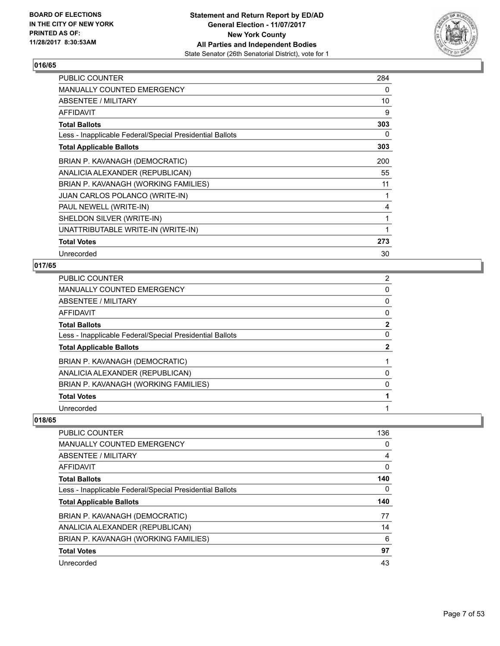

| <b>PUBLIC COUNTER</b>                                    | 284 |
|----------------------------------------------------------|-----|
| <b>MANUALLY COUNTED EMERGENCY</b>                        | 0   |
| ABSENTEE / MILITARY                                      | 10  |
| <b>AFFIDAVIT</b>                                         | 9   |
| <b>Total Ballots</b>                                     | 303 |
| Less - Inapplicable Federal/Special Presidential Ballots | 0   |
| <b>Total Applicable Ballots</b>                          | 303 |
| BRIAN P. KAVANAGH (DEMOCRATIC)                           | 200 |
| ANALICIA ALEXANDER (REPUBLICAN)                          | 55  |
| BRIAN P. KAVANAGH (WORKING FAMILIES)                     | 11  |
| <b>JUAN CARLOS POLANCO (WRITE-IN)</b>                    |     |
| PAUL NEWELL (WRITE-IN)                                   | 4   |
| SHELDON SILVER (WRITE-IN)                                | 1   |
| UNATTRIBUTABLE WRITE-IN (WRITE-IN)                       | 1   |
| <b>Total Votes</b>                                       | 273 |
| Unrecorded                                               | 30  |

# **017/65**

| PUBLIC COUNTER                                           | $\overline{2}$ |
|----------------------------------------------------------|----------------|
| <b>MANUALLY COUNTED EMERGENCY</b>                        | 0              |
| <b>ABSENTEE / MILITARY</b>                               | 0              |
| AFFIDAVIT                                                | 0              |
| <b>Total Ballots</b>                                     | $\mathbf{2}$   |
| Less - Inapplicable Federal/Special Presidential Ballots | 0              |
| <b>Total Applicable Ballots</b>                          | 2              |
| BRIAN P. KAVANAGH (DEMOCRATIC)                           |                |
| ANALICIA ALEXANDER (REPUBLICAN)                          | 0              |
| BRIAN P. KAVANAGH (WORKING FAMILIES)                     | 0              |
| <b>Total Votes</b>                                       |                |
| Unrecorded                                               |                |

| <b>PUBLIC COUNTER</b>                                    | 136 |
|----------------------------------------------------------|-----|
| <b>MANUALLY COUNTED EMERGENCY</b>                        | 0   |
| ABSENTEE / MILITARY                                      | 4   |
| AFFIDAVIT                                                | 0   |
| <b>Total Ballots</b>                                     | 140 |
| Less - Inapplicable Federal/Special Presidential Ballots | 0   |
| <b>Total Applicable Ballots</b>                          | 140 |
| BRIAN P. KAVANAGH (DEMOCRATIC)                           | 77  |
| ANALICIA ALEXANDER (REPUBLICAN)                          | 14  |
| BRIAN P. KAVANAGH (WORKING FAMILIES)                     | 6   |
| <b>Total Votes</b>                                       | 97  |
| Unrecorded                                               | 43  |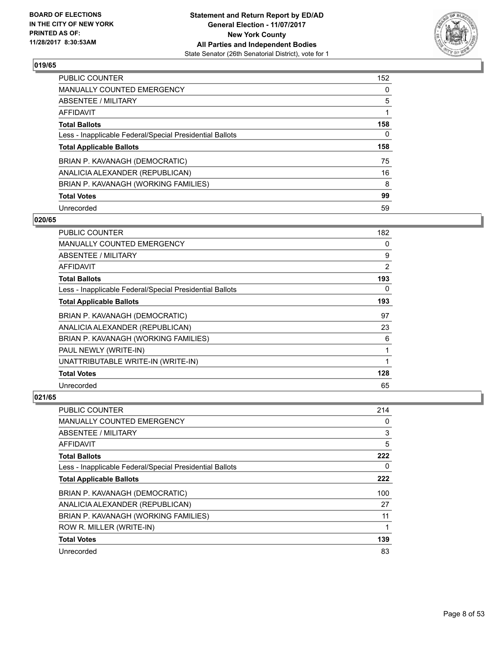

| <b>PUBLIC COUNTER</b>                                    | 152 |
|----------------------------------------------------------|-----|
| MANUALLY COUNTED EMERGENCY                               | 0   |
| ABSENTEE / MILITARY                                      | 5   |
| AFFIDAVIT                                                |     |
| <b>Total Ballots</b>                                     | 158 |
| Less - Inapplicable Federal/Special Presidential Ballots | 0   |
| <b>Total Applicable Ballots</b>                          | 158 |
| BRIAN P. KAVANAGH (DEMOCRATIC)                           | 75  |
| ANALICIA ALEXANDER (REPUBLICAN)                          | 16  |
| BRIAN P. KAVANAGH (WORKING FAMILIES)                     | 8   |
| <b>Total Votes</b>                                       | 99  |
|                                                          |     |

#### **020/65**

| <b>PUBLIC COUNTER</b>                                    | 182 |
|----------------------------------------------------------|-----|
| <b>MANUALLY COUNTED EMERGENCY</b>                        | 0   |
| ABSENTEE / MILITARY                                      | 9   |
| <b>AFFIDAVIT</b>                                         | 2   |
| <b>Total Ballots</b>                                     | 193 |
| Less - Inapplicable Federal/Special Presidential Ballots | 0   |
| <b>Total Applicable Ballots</b>                          | 193 |
| BRIAN P. KAVANAGH (DEMOCRATIC)                           | 97  |
| ANALICIA ALEXANDER (REPUBLICAN)                          | 23  |
| BRIAN P. KAVANAGH (WORKING FAMILIES)                     | 6   |
| PAUL NEWLY (WRITE-IN)                                    | 1   |
| UNATTRIBUTABLE WRITE-IN (WRITE-IN)                       | 1   |
| <b>Total Votes</b>                                       | 128 |
| Unrecorded                                               | 65  |

| PUBLIC COUNTER                                           | 214 |
|----------------------------------------------------------|-----|
| <b>MANUALLY COUNTED EMERGENCY</b>                        | 0   |
| ABSENTEE / MILITARY                                      | 3   |
| AFFIDAVIT                                                | 5   |
| <b>Total Ballots</b>                                     | 222 |
| Less - Inapplicable Federal/Special Presidential Ballots | 0   |
| <b>Total Applicable Ballots</b>                          | 222 |
| BRIAN P. KAVANAGH (DEMOCRATIC)                           | 100 |
| ANALICIA ALEXANDER (REPUBLICAN)                          | 27  |
| BRIAN P. KAVANAGH (WORKING FAMILIES)                     | 11  |
| ROW R. MILLER (WRITE-IN)                                 | 1   |
| <b>Total Votes</b>                                       | 139 |
| Unrecorded                                               | 83  |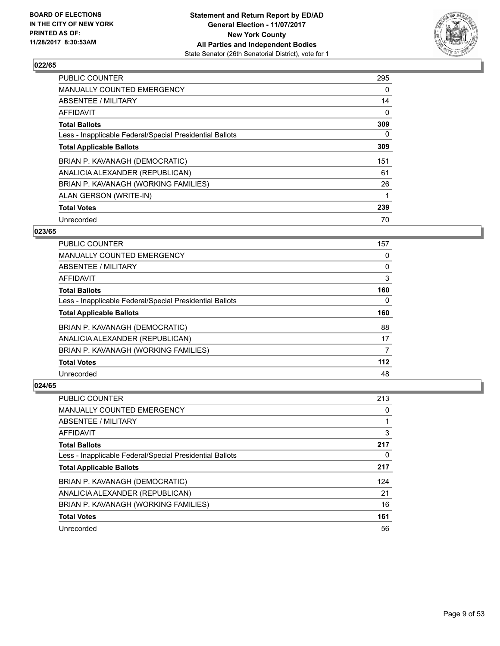

| <b>PUBLIC COUNTER</b>                                    | 295 |
|----------------------------------------------------------|-----|
| MANUALLY COUNTED EMERGENCY                               | 0   |
| ABSENTEE / MILITARY                                      | 14  |
| AFFIDAVIT                                                | 0   |
| <b>Total Ballots</b>                                     | 309 |
| Less - Inapplicable Federal/Special Presidential Ballots | 0   |
| <b>Total Applicable Ballots</b>                          | 309 |
| BRIAN P. KAVANAGH (DEMOCRATIC)                           | 151 |
| ANALICIA ALEXANDER (REPUBLICAN)                          | 61  |
| BRIAN P. KAVANAGH (WORKING FAMILIES)                     | 26  |
| ALAN GERSON (WRITE-IN)                                   |     |
| <b>Total Votes</b>                                       | 239 |
| Unrecorded                                               | 70  |

# **023/65**

| <b>PUBLIC COUNTER</b>                                    | 157 |
|----------------------------------------------------------|-----|
| <b>MANUALLY COUNTED EMERGENCY</b>                        | 0   |
| ABSENTEE / MILITARY                                      | 0   |
| <b>AFFIDAVIT</b>                                         | 3   |
| <b>Total Ballots</b>                                     | 160 |
| Less - Inapplicable Federal/Special Presidential Ballots | 0   |
| <b>Total Applicable Ballots</b>                          | 160 |
| BRIAN P. KAVANAGH (DEMOCRATIC)                           | 88  |
| ANALICIA ALEXANDER (REPUBLICAN)                          | 17  |
| BRIAN P. KAVANAGH (WORKING FAMILIES)                     | 7   |
| <b>Total Votes</b>                                       | 112 |
| Unrecorded                                               | 48  |

| PUBLIC COUNTER                                           | 213 |
|----------------------------------------------------------|-----|
| <b>MANUALLY COUNTED EMERGENCY</b>                        | 0   |
| ABSENTEE / MILITARY                                      |     |
| AFFIDAVIT                                                | 3   |
| <b>Total Ballots</b>                                     | 217 |
| Less - Inapplicable Federal/Special Presidential Ballots | 0   |
| <b>Total Applicable Ballots</b>                          | 217 |
| BRIAN P. KAVANAGH (DEMOCRATIC)                           | 124 |
| ANALICIA ALEXANDER (REPUBLICAN)                          | 21  |
| BRIAN P. KAVANAGH (WORKING FAMILIES)                     | 16  |
| <b>Total Votes</b>                                       | 161 |
|                                                          |     |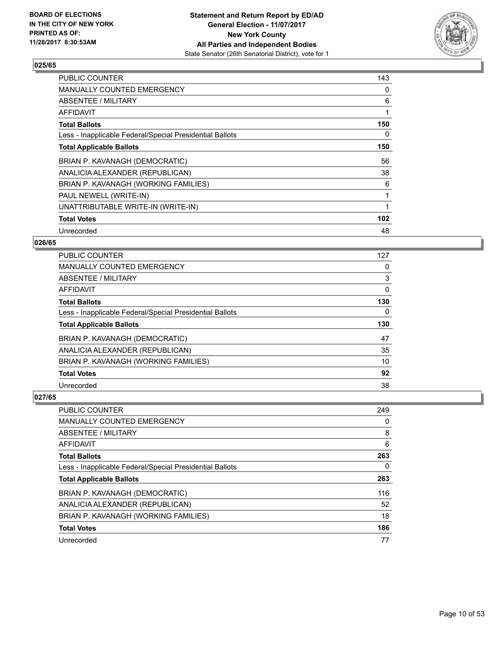

| <b>PUBLIC COUNTER</b>                                    | 143 |
|----------------------------------------------------------|-----|
| <b>MANUALLY COUNTED EMERGENCY</b>                        | 0   |
| ABSENTEE / MILITARY                                      | 6   |
| AFFIDAVIT                                                | 1   |
| <b>Total Ballots</b>                                     | 150 |
| Less - Inapplicable Federal/Special Presidential Ballots | 0   |
| <b>Total Applicable Ballots</b>                          | 150 |
| BRIAN P. KAVANAGH (DEMOCRATIC)                           | 56  |
| ANALICIA ALEXANDER (REPUBLICAN)                          | 38  |
| BRIAN P. KAVANAGH (WORKING FAMILIES)                     | 6   |
| PAUL NEWELL (WRITE-IN)                                   | 1   |
| UNATTRIBUTABLE WRITE-IN (WRITE-IN)                       |     |
| <b>Total Votes</b>                                       | 102 |
| Unrecorded                                               | 48  |

# **026/65**

| <b>PUBLIC COUNTER</b>                                    | 127      |
|----------------------------------------------------------|----------|
| <b>MANUALLY COUNTED EMERGENCY</b>                        | 0        |
| ABSENTEE / MILITARY                                      | 3        |
| AFFIDAVIT                                                | 0        |
| <b>Total Ballots</b>                                     | 130      |
| Less - Inapplicable Federal/Special Presidential Ballots | $\Omega$ |
| <b>Total Applicable Ballots</b>                          | 130      |
| BRIAN P. KAVANAGH (DEMOCRATIC)                           | 47       |
| ANALICIA ALEXANDER (REPUBLICAN)                          | 35       |
| BRIAN P. KAVANAGH (WORKING FAMILIES)                     | 10       |
| <b>Total Votes</b>                                       | 92       |
| Unrecorded                                               | 38       |

| <b>PUBLIC COUNTER</b>                                    | 249 |
|----------------------------------------------------------|-----|
| <b>MANUALLY COUNTED EMERGENCY</b>                        | 0   |
| ABSENTEE / MILITARY                                      | 8   |
| AFFIDAVIT                                                | 6   |
| <b>Total Ballots</b>                                     | 263 |
| Less - Inapplicable Federal/Special Presidential Ballots | 0   |
| <b>Total Applicable Ballots</b>                          | 263 |
| BRIAN P. KAVANAGH (DEMOCRATIC)                           | 116 |
| ANALICIA ALEXANDER (REPUBLICAN)                          | 52  |
|                                                          |     |
| BRIAN P. KAVANAGH (WORKING FAMILIES)                     | 18  |
| <b>Total Votes</b>                                       | 186 |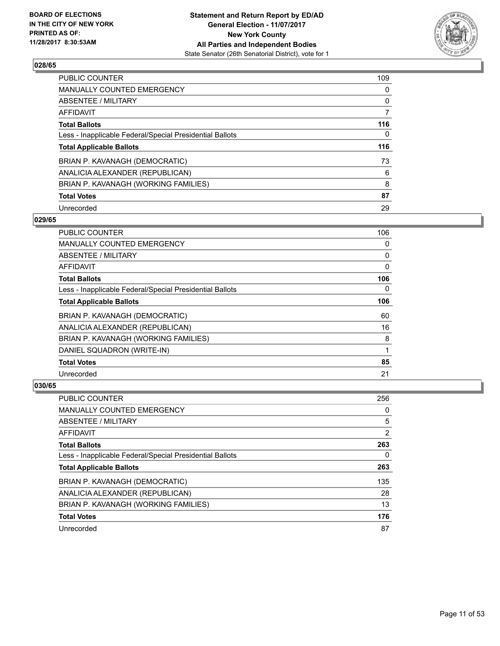

| <b>PUBLIC COUNTER</b>                                    | 109 |
|----------------------------------------------------------|-----|
| MANUALLY COUNTED EMERGENCY                               | 0   |
| ABSENTEE / MILITARY                                      | 0   |
| AFFIDAVIT                                                | 7   |
| <b>Total Ballots</b>                                     | 116 |
| Less - Inapplicable Federal/Special Presidential Ballots | 0   |
| <b>Total Applicable Ballots</b>                          | 116 |
| BRIAN P. KAVANAGH (DEMOCRATIC)                           | 73  |
| ANALICIA ALEXANDER (REPUBLICAN)                          | 6   |
| BRIAN P. KAVANAGH (WORKING FAMILIES)                     | 8   |
| <b>Total Votes</b>                                       | 87  |
| Unrecorded                                               | 29  |

#### **029/65**

| <b>PUBLIC COUNTER</b>                                    | 106 |
|----------------------------------------------------------|-----|
| <b>MANUALLY COUNTED EMERGENCY</b>                        | 0   |
| ABSENTEE / MILITARY                                      | 0   |
| AFFIDAVIT                                                | 0   |
| <b>Total Ballots</b>                                     | 106 |
| Less - Inapplicable Federal/Special Presidential Ballots | 0   |
| <b>Total Applicable Ballots</b>                          | 106 |
| BRIAN P. KAVANAGH (DEMOCRATIC)                           | 60  |
| ANALICIA ALEXANDER (REPUBLICAN)                          | 16  |
| BRIAN P. KAVANAGH (WORKING FAMILIES)                     | 8   |
| DANIEL SQUADRON (WRITE-IN)                               | 1   |
| <b>Total Votes</b>                                       | 85  |
| Unrecorded                                               | 21  |

| PUBLIC COUNTER                                           | 256 |
|----------------------------------------------------------|-----|
| <b>MANUALLY COUNTED EMERGENCY</b>                        | 0   |
| ABSENTEE / MILITARY                                      | 5   |
| AFFIDAVIT                                                | 2   |
| <b>Total Ballots</b>                                     | 263 |
| Less - Inapplicable Federal/Special Presidential Ballots | 0   |
| <b>Total Applicable Ballots</b>                          | 263 |
| BRIAN P. KAVANAGH (DEMOCRATIC)                           | 135 |
| ANALICIA ALEXANDER (REPUBLICAN)                          | 28  |
| BRIAN P. KAVANAGH (WORKING FAMILIES)                     | 13  |
|                                                          |     |
| <b>Total Votes</b>                                       | 176 |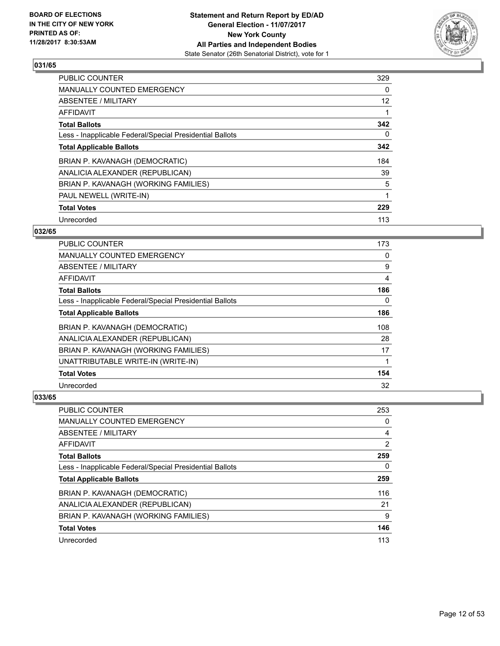

| <b>PUBLIC COUNTER</b>                                    | 329               |
|----------------------------------------------------------|-------------------|
| <b>MANUALLY COUNTED EMERGENCY</b>                        | 0                 |
| ABSENTEE / MILITARY                                      | $12 \overline{ }$ |
| <b>AFFIDAVIT</b>                                         |                   |
| <b>Total Ballots</b>                                     | 342               |
| Less - Inapplicable Federal/Special Presidential Ballots | 0                 |
| <b>Total Applicable Ballots</b>                          | 342               |
| BRIAN P. KAVANAGH (DEMOCRATIC)                           | 184               |
| ANALICIA ALEXANDER (REPUBLICAN)                          | 39                |
| BRIAN P. KAVANAGH (WORKING FAMILIES)                     | 5                 |
| PAUL NEWELL (WRITE-IN)                                   |                   |
| <b>Total Votes</b>                                       | 229               |
| Unrecorded                                               | 113               |

# **032/65**

| PUBLIC COUNTER                                           | 173 |
|----------------------------------------------------------|-----|
| MANUALLY COUNTED EMERGENCY                               | 0   |
| ABSENTEE / MILITARY                                      | 9   |
| AFFIDAVIT                                                | 4   |
| <b>Total Ballots</b>                                     | 186 |
| Less - Inapplicable Federal/Special Presidential Ballots | 0   |
| <b>Total Applicable Ballots</b>                          | 186 |
| BRIAN P. KAVANAGH (DEMOCRATIC)                           | 108 |
| ANALICIA ALEXANDER (REPUBLICAN)                          | 28  |
| BRIAN P. KAVANAGH (WORKING FAMILIES)                     | 17  |
| UNATTRIBUTABLE WRITE-IN (WRITE-IN)                       |     |
| <b>Total Votes</b>                                       | 154 |
| Unrecorded                                               | 32  |

| <b>PUBLIC COUNTER</b>                                    | 253 |
|----------------------------------------------------------|-----|
| <b>MANUALLY COUNTED EMERGENCY</b>                        | 0   |
| ABSENTEE / MILITARY                                      | 4   |
| AFFIDAVIT                                                | 2   |
| <b>Total Ballots</b>                                     | 259 |
| Less - Inapplicable Federal/Special Presidential Ballots | 0   |
| <b>Total Applicable Ballots</b>                          | 259 |
| BRIAN P. KAVANAGH (DEMOCRATIC)                           | 116 |
| ANALICIA ALEXANDER (REPUBLICAN)                          | 21  |
|                                                          |     |
| BRIAN P. KAVANAGH (WORKING FAMILIES)                     | 9   |
| <b>Total Votes</b>                                       | 146 |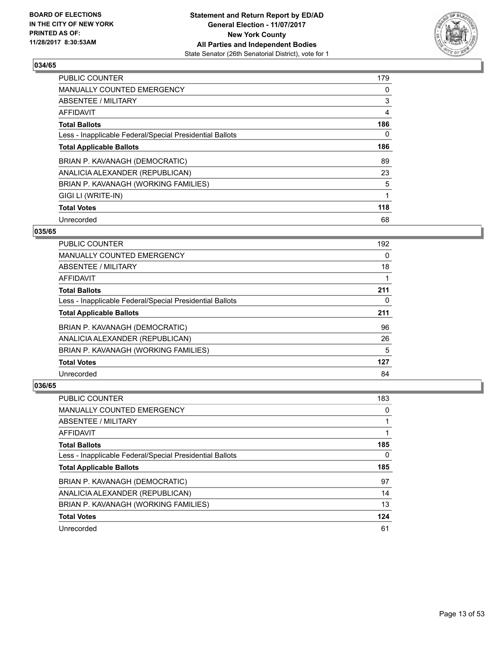

| <b>PUBLIC COUNTER</b>                                    | 179 |
|----------------------------------------------------------|-----|
| <b>MANUALLY COUNTED EMERGENCY</b>                        | 0   |
| ABSENTEE / MILITARY                                      | 3   |
| AFFIDAVIT                                                | 4   |
| <b>Total Ballots</b>                                     | 186 |
| Less - Inapplicable Federal/Special Presidential Ballots | 0   |
| <b>Total Applicable Ballots</b>                          | 186 |
| BRIAN P. KAVANAGH (DEMOCRATIC)                           | 89  |
| ANALICIA ALEXANDER (REPUBLICAN)                          | 23  |
| BRIAN P. KAVANAGH (WORKING FAMILIES)                     | 5   |
| GIGI LI (WRITE-IN)                                       | 1   |
| <b>Total Votes</b>                                       | 118 |
| Unrecorded                                               | 68  |

# **035/65**

| <b>PUBLIC COUNTER</b>                                    | 192 |
|----------------------------------------------------------|-----|
| <b>MANUALLY COUNTED EMERGENCY</b>                        | 0   |
| ABSENTEE / MILITARY                                      | 18  |
| <b>AFFIDAVIT</b>                                         |     |
| <b>Total Ballots</b>                                     | 211 |
| Less - Inapplicable Federal/Special Presidential Ballots | 0   |
| <b>Total Applicable Ballots</b>                          | 211 |
| BRIAN P. KAVANAGH (DEMOCRATIC)                           | 96  |
| ANALICIA ALEXANDER (REPUBLICAN)                          | 26  |
| BRIAN P. KAVANAGH (WORKING FAMILIES)                     | 5   |
| <b>Total Votes</b>                                       | 127 |
| Unrecorded                                               | 84  |

| PUBLIC COUNTER                                           | 183 |
|----------------------------------------------------------|-----|
| <b>MANUALLY COUNTED EMERGENCY</b>                        | 0   |
| ABSENTEE / MILITARY                                      |     |
| AFFIDAVIT                                                |     |
| <b>Total Ballots</b>                                     | 185 |
| Less - Inapplicable Federal/Special Presidential Ballots | 0   |
|                                                          |     |
| <b>Total Applicable Ballots</b>                          | 185 |
| BRIAN P. KAVANAGH (DEMOCRATIC)                           | 97  |
| ANALICIA ALEXANDER (REPUBLICAN)                          | 14  |
| BRIAN P. KAVANAGH (WORKING FAMILIES)                     | 13  |
| <b>Total Votes</b>                                       | 124 |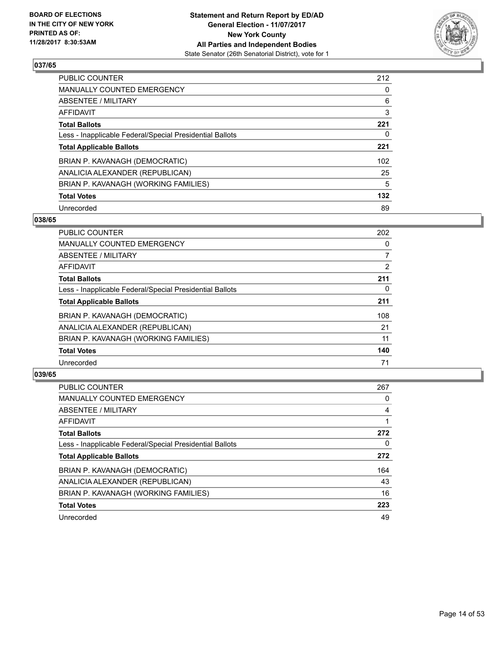

| <b>PUBLIC COUNTER</b>                                    | 212 |
|----------------------------------------------------------|-----|
| MANUALLY COUNTED EMERGENCY                               | 0   |
| ABSENTEE / MILITARY                                      | 6   |
| AFFIDAVIT                                                | 3   |
| <b>Total Ballots</b>                                     | 221 |
| Less - Inapplicable Federal/Special Presidential Ballots | 0   |
| <b>Total Applicable Ballots</b>                          | 221 |
| BRIAN P. KAVANAGH (DEMOCRATIC)                           | 102 |
| ANALICIA ALEXANDER (REPUBLICAN)                          | 25  |
| BRIAN P. KAVANAGH (WORKING FAMILIES)                     | 5   |
| <b>Total Votes</b>                                       | 132 |
| Unrecorded                                               | 89  |

#### **038/65**

| <b>PUBLIC COUNTER</b>                                    | 202 |
|----------------------------------------------------------|-----|
| <b>MANUALLY COUNTED EMERGENCY</b>                        | 0   |
| ABSENTEE / MILITARY                                      | 7   |
| <b>AFFIDAVIT</b>                                         | 2   |
| <b>Total Ballots</b>                                     | 211 |
| Less - Inapplicable Federal/Special Presidential Ballots | 0   |
| <b>Total Applicable Ballots</b>                          | 211 |
| BRIAN P. KAVANAGH (DEMOCRATIC)                           | 108 |
| ANALICIA ALEXANDER (REPUBLICAN)                          | 21  |
| BRIAN P. KAVANAGH (WORKING FAMILIES)                     | 11  |
| <b>Total Votes</b>                                       | 140 |
| Unrecorded                                               | 71  |

| PUBLIC COUNTER                                           | 267 |
|----------------------------------------------------------|-----|
| <b>MANUALLY COUNTED EMERGENCY</b>                        | 0   |
| ABSENTEE / MILITARY                                      | 4   |
| AFFIDAVIT                                                |     |
| <b>Total Ballots</b>                                     | 272 |
| Less - Inapplicable Federal/Special Presidential Ballots | 0   |
| <b>Total Applicable Ballots</b>                          | 272 |
| BRIAN P. KAVANAGH (DEMOCRATIC)                           | 164 |
| ANALICIA ALEXANDER (REPUBLICAN)                          | 43  |
| BRIAN P. KAVANAGH (WORKING FAMILIES)                     | 16  |
| <b>Total Votes</b>                                       | 223 |
| Unrecorded                                               | 49  |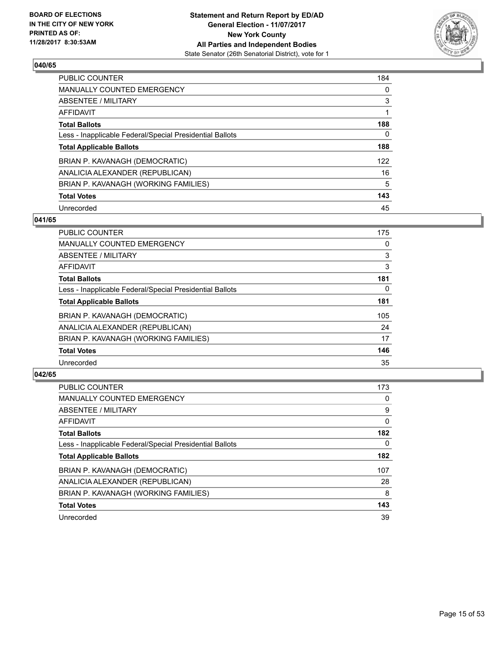

| <b>PUBLIC COUNTER</b>                                    | 184 |
|----------------------------------------------------------|-----|
| <b>MANUALLY COUNTED EMERGENCY</b>                        | 0   |
| ABSENTEE / MILITARY                                      | 3   |
| AFFIDAVIT                                                |     |
| <b>Total Ballots</b>                                     | 188 |
| Less - Inapplicable Federal/Special Presidential Ballots | 0   |
| <b>Total Applicable Ballots</b>                          | 188 |
| BRIAN P. KAVANAGH (DEMOCRATIC)                           | 122 |
| ANALICIA ALEXANDER (REPUBLICAN)                          | 16  |
| BRIAN P. KAVANAGH (WORKING FAMILIES)                     | 5   |
| <b>Total Votes</b>                                       | 143 |
| Unrecorded                                               | 45  |

#### **041/65**

| <b>PUBLIC COUNTER</b>                                    | 175 |
|----------------------------------------------------------|-----|
| <b>MANUALLY COUNTED EMERGENCY</b>                        | 0   |
| ABSENTEE / MILITARY                                      | 3   |
| <b>AFFIDAVIT</b>                                         | 3   |
| <b>Total Ballots</b>                                     | 181 |
| Less - Inapplicable Federal/Special Presidential Ballots | 0   |
| <b>Total Applicable Ballots</b>                          | 181 |
| BRIAN P. KAVANAGH (DEMOCRATIC)                           | 105 |
| ANALICIA ALEXANDER (REPUBLICAN)                          | 24  |
| BRIAN P. KAVANAGH (WORKING FAMILIES)                     | 17  |
| <b>Total Votes</b>                                       | 146 |
| Unrecorded                                               | 35  |

| <b>PUBLIC COUNTER</b>                                    | 173 |
|----------------------------------------------------------|-----|
| <b>MANUALLY COUNTED EMERGENCY</b>                        | 0   |
| ABSENTEE / MILITARY                                      | 9   |
| AFFIDAVIT                                                | 0   |
| <b>Total Ballots</b>                                     | 182 |
| Less - Inapplicable Federal/Special Presidential Ballots | 0   |
| <b>Total Applicable Ballots</b>                          | 182 |
| BRIAN P. KAVANAGH (DEMOCRATIC)                           | 107 |
| ANALICIA ALEXANDER (REPUBLICAN)                          | 28  |
| BRIAN P. KAVANAGH (WORKING FAMILIES)                     | 8   |
| <b>Total Votes</b>                                       | 143 |
| Unrecorded                                               | 39  |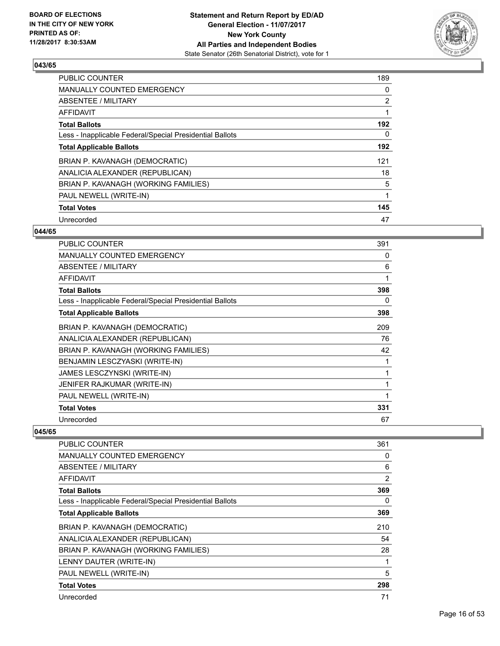

| <b>PUBLIC COUNTER</b>                                    | 189            |
|----------------------------------------------------------|----------------|
| <b>MANUALLY COUNTED EMERGENCY</b>                        | 0              |
| ABSENTEE / MILITARY                                      | $\overline{2}$ |
| <b>AFFIDAVIT</b>                                         |                |
| <b>Total Ballots</b>                                     | 192            |
| Less - Inapplicable Federal/Special Presidential Ballots | 0              |
| <b>Total Applicable Ballots</b>                          | 192            |
| BRIAN P. KAVANAGH (DEMOCRATIC)                           | 121            |
| ANALICIA ALEXANDER (REPUBLICAN)                          | 18             |
| BRIAN P. KAVANAGH (WORKING FAMILIES)                     | 5              |
| PAUL NEWELL (WRITE-IN)                                   |                |
| <b>Total Votes</b>                                       | 145            |
| Unrecorded                                               | 47             |

# **044/65**

| <b>PUBLIC COUNTER</b>                                    | 391 |
|----------------------------------------------------------|-----|
| <b>MANUALLY COUNTED EMERGENCY</b>                        | 0   |
| ABSENTEE / MILITARY                                      | 6   |
| AFFIDAVIT                                                | 1   |
| <b>Total Ballots</b>                                     | 398 |
| Less - Inapplicable Federal/Special Presidential Ballots | 0   |
| <b>Total Applicable Ballots</b>                          | 398 |
| BRIAN P. KAVANAGH (DEMOCRATIC)                           | 209 |
| ANALICIA ALEXANDER (REPUBLICAN)                          | 76  |
| BRIAN P. KAVANAGH (WORKING FAMILIES)                     | 42  |
| BENJAMIN LESCZYASKI (WRITE-IN)                           |     |
| <b>JAMES LESCZYNSKI (WRITE-IN)</b>                       |     |
| JENIFER RAJKUMAR (WRITE-IN)                              | 1   |
| PAUL NEWELL (WRITE-IN)                                   |     |
| <b>Total Votes</b>                                       | 331 |
| Unrecorded                                               | 67  |

| <b>PUBLIC COUNTER</b>                                    | 361 |
|----------------------------------------------------------|-----|
| MANUALLY COUNTED EMERGENCY                               | 0   |
| ABSENTEE / MILITARY                                      | 6   |
| AFFIDAVIT                                                | 2   |
| <b>Total Ballots</b>                                     | 369 |
| Less - Inapplicable Federal/Special Presidential Ballots | 0   |
| <b>Total Applicable Ballots</b>                          | 369 |
| BRIAN P. KAVANAGH (DEMOCRATIC)                           | 210 |
| ANALICIA ALEXANDER (REPUBLICAN)                          | 54  |
| BRIAN P. KAVANAGH (WORKING FAMILIES)                     | 28  |
| LENNY DAUTER (WRITE-IN)                                  | 1   |
| PAUL NEWELL (WRITE-IN)                                   | 5   |
| <b>Total Votes</b>                                       | 298 |
| Unrecorded                                               | 71  |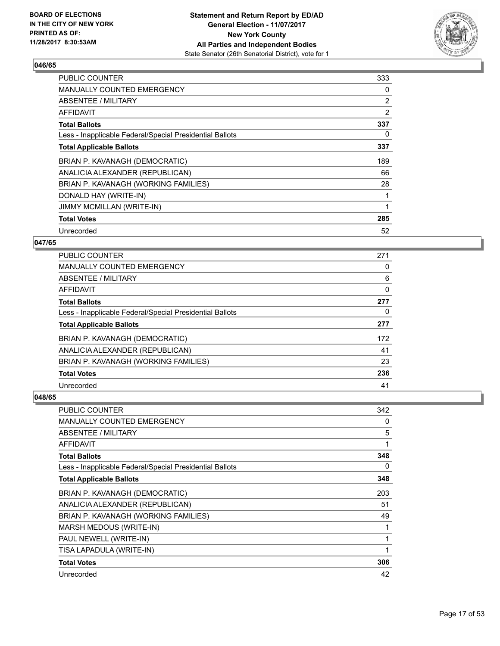

| <b>PUBLIC COUNTER</b>                                    | 333 |
|----------------------------------------------------------|-----|
| <b>MANUALLY COUNTED EMERGENCY</b>                        | 0   |
| <b>ABSENTEE / MILITARY</b>                               | 2   |
| AFFIDAVIT                                                | 2   |
| <b>Total Ballots</b>                                     | 337 |
| Less - Inapplicable Federal/Special Presidential Ballots | 0   |
| <b>Total Applicable Ballots</b>                          | 337 |
| BRIAN P. KAVANAGH (DEMOCRATIC)                           | 189 |
| ANALICIA ALEXANDER (REPUBLICAN)                          | 66  |
| BRIAN P. KAVANAGH (WORKING FAMILIES)                     | 28  |
| DONALD HAY (WRITE-IN)                                    |     |
| <b>JIMMY MCMILLAN (WRITE-IN)</b>                         | 1   |
| <b>Total Votes</b>                                       | 285 |
| Unrecorded                                               | 52  |

# **047/65**

| <b>PUBLIC COUNTER</b>                                    | 271 |
|----------------------------------------------------------|-----|
| <b>MANUALLY COUNTED EMERGENCY</b>                        | 0   |
| ABSENTEE / MILITARY                                      | 6   |
| AFFIDAVIT                                                | 0   |
| <b>Total Ballots</b>                                     | 277 |
| Less - Inapplicable Federal/Special Presidential Ballots | 0   |
| <b>Total Applicable Ballots</b>                          | 277 |
| BRIAN P. KAVANAGH (DEMOCRATIC)                           | 172 |
| ANALICIA ALEXANDER (REPUBLICAN)                          | 41  |
| BRIAN P. KAVANAGH (WORKING FAMILIES)                     | 23  |
| <b>Total Votes</b>                                       | 236 |
| Unrecorded                                               | 41  |

| <b>PUBLIC COUNTER</b>                                    | 342 |
|----------------------------------------------------------|-----|
| <b>MANUALLY COUNTED EMERGENCY</b>                        | 0   |
| ABSENTEE / MILITARY                                      | 5   |
| AFFIDAVIT                                                | 1   |
| <b>Total Ballots</b>                                     | 348 |
| Less - Inapplicable Federal/Special Presidential Ballots | 0   |
| <b>Total Applicable Ballots</b>                          | 348 |
| BRIAN P. KAVANAGH (DEMOCRATIC)                           | 203 |
| ANALICIA ALEXANDER (REPUBLICAN)                          | 51  |
| BRIAN P. KAVANAGH (WORKING FAMILIES)                     | 49  |
| MARSH MEDOUS (WRITE-IN)                                  | 1   |
| PAUL NEWELL (WRITE-IN)                                   | 1   |
| TISA LAPADULA (WRITE-IN)                                 | 1   |
| <b>Total Votes</b>                                       | 306 |
| Unrecorded                                               | 42  |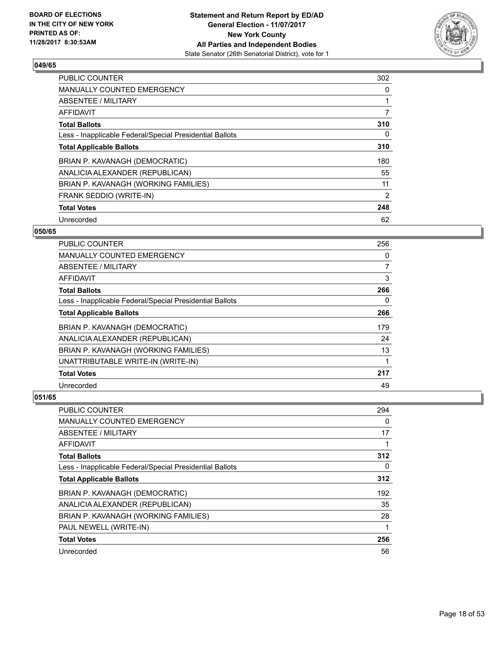

| <b>PUBLIC COUNTER</b>                                    | 302 |
|----------------------------------------------------------|-----|
| <b>MANUALLY COUNTED EMERGENCY</b>                        | 0   |
| ABSENTEE / MILITARY                                      |     |
| <b>AFFIDAVIT</b>                                         | 7   |
| <b>Total Ballots</b>                                     | 310 |
| Less - Inapplicable Federal/Special Presidential Ballots | 0   |
| <b>Total Applicable Ballots</b>                          | 310 |
| BRIAN P. KAVANAGH (DEMOCRATIC)                           | 180 |
| ANALICIA ALEXANDER (REPUBLICAN)                          | 55  |
| BRIAN P. KAVANAGH (WORKING FAMILIES)                     | 11  |
| FRANK SEDDIO (WRITE-IN)                                  | 2   |
| <b>Total Votes</b>                                       | 248 |
| Unrecorded                                               | 62  |

# **050/65**

| <b>PUBLIC COUNTER</b>                                    | 256            |
|----------------------------------------------------------|----------------|
| <b>MANUALLY COUNTED EMERGENCY</b>                        | 0              |
| ABSENTEE / MILITARY                                      | $\overline{7}$ |
| AFFIDAVIT                                                | 3              |
| <b>Total Ballots</b>                                     | 266            |
| Less - Inapplicable Federal/Special Presidential Ballots | 0              |
| <b>Total Applicable Ballots</b>                          | 266            |
| BRIAN P. KAVANAGH (DEMOCRATIC)                           | 179            |
| ANALICIA ALEXANDER (REPUBLICAN)                          | 24             |
| BRIAN P. KAVANAGH (WORKING FAMILIES)                     | 13             |
| UNATTRIBUTABLE WRITE-IN (WRITE-IN)                       |                |
| <b>Total Votes</b>                                       | 217            |
| Unrecorded                                               | 49             |

| PUBLIC COUNTER                                           | 294 |
|----------------------------------------------------------|-----|
| <b>MANUALLY COUNTED EMERGENCY</b>                        | 0   |
| ABSENTEE / MILITARY                                      | 17  |
| AFFIDAVIT                                                |     |
| <b>Total Ballots</b>                                     | 312 |
| Less - Inapplicable Federal/Special Presidential Ballots | 0   |
| <b>Total Applicable Ballots</b>                          | 312 |
| BRIAN P. KAVANAGH (DEMOCRATIC)                           | 192 |
| ANALICIA ALEXANDER (REPUBLICAN)                          | 35  |
| BRIAN P. KAVANAGH (WORKING FAMILIES)                     | 28  |
| PAUL NEWELL (WRITE-IN)                                   | 1   |
| <b>Total Votes</b>                                       | 256 |
| Unrecorded                                               | 56  |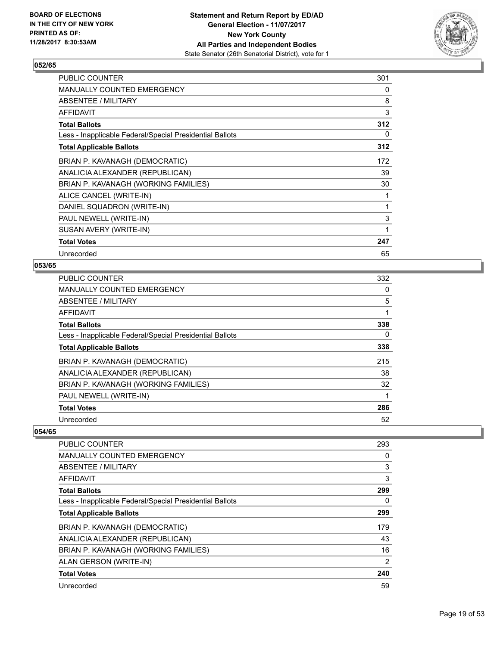

| <b>PUBLIC COUNTER</b>                                    | 301 |
|----------------------------------------------------------|-----|
| <b>MANUALLY COUNTED EMERGENCY</b>                        | 0   |
| ABSENTEE / MILITARY                                      | 8   |
| <b>AFFIDAVIT</b>                                         | 3   |
| <b>Total Ballots</b>                                     | 312 |
| Less - Inapplicable Federal/Special Presidential Ballots | 0   |
| <b>Total Applicable Ballots</b>                          | 312 |
| BRIAN P. KAVANAGH (DEMOCRATIC)                           | 172 |
| ANALICIA ALEXANDER (REPUBLICAN)                          | 39  |
| BRIAN P. KAVANAGH (WORKING FAMILIES)                     | 30  |
| ALICE CANCEL (WRITE-IN)                                  |     |
| DANIEL SQUADRON (WRITE-IN)                               | 1   |
| PAUL NEWELL (WRITE-IN)                                   | 3   |
| SUSAN AVERY (WRITE-IN)                                   | 1   |
| <b>Total Votes</b>                                       | 247 |
| Unrecorded                                               | 65  |

# **053/65**

| PUBLIC COUNTER                                           | 332 |
|----------------------------------------------------------|-----|
| <b>MANUALLY COUNTED EMERGENCY</b>                        | 0   |
| ABSENTEE / MILITARY                                      | 5   |
| AFFIDAVIT                                                | 1   |
| <b>Total Ballots</b>                                     | 338 |
| Less - Inapplicable Federal/Special Presidential Ballots | 0   |
| <b>Total Applicable Ballots</b>                          | 338 |
| BRIAN P. KAVANAGH (DEMOCRATIC)                           | 215 |
| ANALICIA ALEXANDER (REPUBLICAN)                          | 38  |
| BRIAN P. KAVANAGH (WORKING FAMILIES)                     | 32  |
| PAUL NEWELL (WRITE-IN)                                   |     |
| <b>Total Votes</b>                                       | 286 |
| Unrecorded                                               | 52  |

| <b>PUBLIC COUNTER</b>                                    | 293 |
|----------------------------------------------------------|-----|
| <b>MANUALLY COUNTED EMERGENCY</b>                        | 0   |
| ABSENTEE / MILITARY                                      | 3   |
| AFFIDAVIT                                                | 3   |
| <b>Total Ballots</b>                                     | 299 |
| Less - Inapplicable Federal/Special Presidential Ballots | 0   |
| <b>Total Applicable Ballots</b>                          | 299 |
| BRIAN P. KAVANAGH (DEMOCRATIC)                           | 179 |
| ANALICIA ALEXANDER (REPUBLICAN)                          | 43  |
| BRIAN P. KAVANAGH (WORKING FAMILIES)                     | 16  |
| ALAN GERSON (WRITE-IN)                                   | 2   |
| <b>Total Votes</b>                                       | 240 |
| Unrecorded                                               | 59  |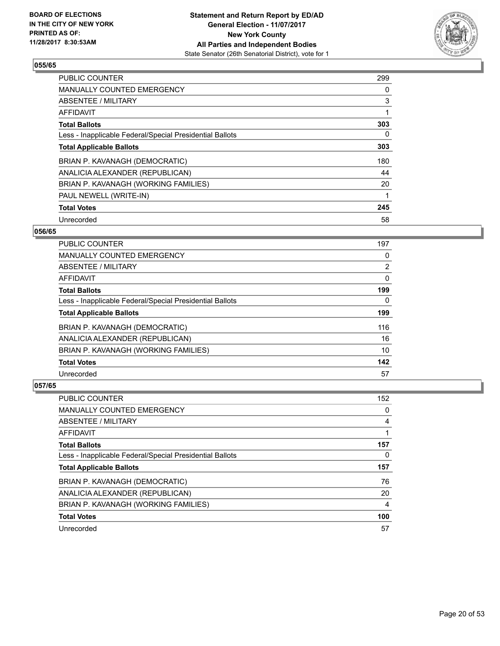

| <b>PUBLIC COUNTER</b>                                    | 299 |
|----------------------------------------------------------|-----|
| <b>MANUALLY COUNTED EMERGENCY</b>                        | 0   |
| ABSENTEE / MILITARY                                      | 3   |
| <b>AFFIDAVIT</b>                                         |     |
| <b>Total Ballots</b>                                     | 303 |
| Less - Inapplicable Federal/Special Presidential Ballots | 0   |
| <b>Total Applicable Ballots</b>                          | 303 |
| BRIAN P. KAVANAGH (DEMOCRATIC)                           | 180 |
| ANALICIA ALEXANDER (REPUBLICAN)                          | 44  |
| BRIAN P. KAVANAGH (WORKING FAMILIES)                     | 20  |
| PAUL NEWELL (WRITE-IN)                                   |     |
| <b>Total Votes</b>                                       | 245 |
| Unrecorded                                               | 58  |

# **056/65**

| <b>PUBLIC COUNTER</b>                                    | 197 |
|----------------------------------------------------------|-----|
| <b>MANUALLY COUNTED EMERGENCY</b>                        | 0   |
| ABSENTEE / MILITARY                                      | 2   |
| AFFIDAVIT                                                | 0   |
| <b>Total Ballots</b>                                     | 199 |
| Less - Inapplicable Federal/Special Presidential Ballots | 0   |
| <b>Total Applicable Ballots</b>                          | 199 |
| BRIAN P. KAVANAGH (DEMOCRATIC)                           | 116 |
| ANALICIA ALEXANDER (REPUBLICAN)                          | 16  |
| BRIAN P. KAVANAGH (WORKING FAMILIES)                     | 10  |
| <b>Total Votes</b>                                       | 142 |
| Unrecorded                                               | 57  |

| <b>PUBLIC COUNTER</b>                                    | 152 |
|----------------------------------------------------------|-----|
| MANUALLY COUNTED EMERGENCY                               | 0   |
| ABSENTEE / MILITARY                                      | 4   |
| AFFIDAVIT                                                |     |
| <b>Total Ballots</b>                                     | 157 |
| Less - Inapplicable Federal/Special Presidential Ballots | 0   |
|                                                          |     |
| <b>Total Applicable Ballots</b>                          | 157 |
| BRIAN P. KAVANAGH (DEMOCRATIC)                           | 76  |
| ANALICIA ALEXANDER (REPUBLICAN)                          | 20  |
| BRIAN P. KAVANAGH (WORKING FAMILIES)                     | 4   |
| <b>Total Votes</b>                                       | 100 |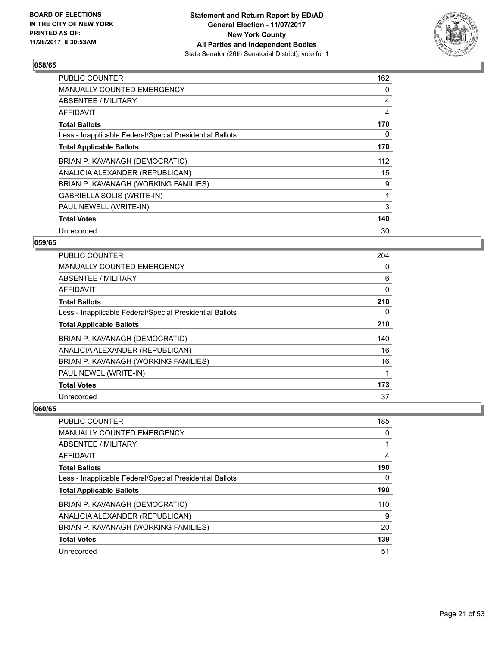

| <b>PUBLIC COUNTER</b>                                    | 162 |
|----------------------------------------------------------|-----|
| <b>MANUALLY COUNTED EMERGENCY</b>                        | 0   |
| <b>ABSENTEE / MILITARY</b>                               | 4   |
| AFFIDAVIT                                                | 4   |
| <b>Total Ballots</b>                                     | 170 |
| Less - Inapplicable Federal/Special Presidential Ballots | 0   |
| <b>Total Applicable Ballots</b>                          | 170 |
| BRIAN P. KAVANAGH (DEMOCRATIC)                           | 112 |
| ANALICIA ALEXANDER (REPUBLICAN)                          | 15  |
| BRIAN P. KAVANAGH (WORKING FAMILIES)                     | 9   |
| GABRIELLA SOLIS (WRITE-IN)                               | 1   |
| PAUL NEWELL (WRITE-IN)                                   | 3   |
| <b>Total Votes</b>                                       | 140 |
| Unrecorded                                               | 30  |

# **059/65**

| PUBLIC COUNTER                                           | 204 |
|----------------------------------------------------------|-----|
| <b>MANUALLY COUNTED EMERGENCY</b>                        | 0   |
| ABSENTEE / MILITARY                                      | 6   |
| AFFIDAVIT                                                | 0   |
| <b>Total Ballots</b>                                     | 210 |
| Less - Inapplicable Federal/Special Presidential Ballots | 0   |
| <b>Total Applicable Ballots</b>                          | 210 |
| BRIAN P. KAVANAGH (DEMOCRATIC)                           | 140 |
| ANALICIA ALEXANDER (REPUBLICAN)                          | 16  |
| BRIAN P. KAVANAGH (WORKING FAMILIES)                     | 16  |
| PAUL NEWEL (WRITE-IN)                                    | 1   |
| <b>Total Votes</b>                                       | 173 |
| Unrecorded                                               | 37  |

| PUBLIC COUNTER                                           | 185 |
|----------------------------------------------------------|-----|
| <b>MANUALLY COUNTED EMERGENCY</b>                        | 0   |
| ABSENTEE / MILITARY                                      |     |
| AFFIDAVIT                                                | 4   |
| <b>Total Ballots</b>                                     | 190 |
| Less - Inapplicable Federal/Special Presidential Ballots | 0   |
| <b>Total Applicable Ballots</b>                          | 190 |
| BRIAN P. KAVANAGH (DEMOCRATIC)                           | 110 |
| ANALICIA ALEXANDER (REPUBLICAN)                          | 9   |
| BRIAN P. KAVANAGH (WORKING FAMILIES)                     | 20  |
| <b>Total Votes</b>                                       | 139 |
| Unrecorded                                               | 51  |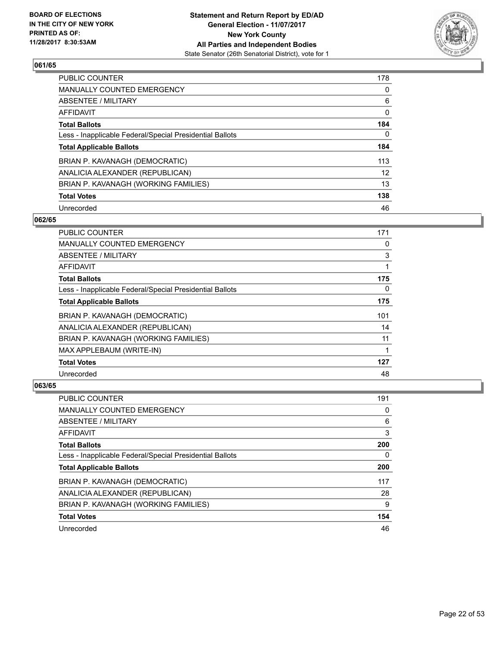

| <b>PUBLIC COUNTER</b>                                    | 178               |
|----------------------------------------------------------|-------------------|
| MANUALLY COUNTED EMERGENCY                               | 0                 |
| ABSENTEE / MILITARY                                      | 6                 |
| AFFIDAVIT                                                | 0                 |
| <b>Total Ballots</b>                                     | 184               |
| Less - Inapplicable Federal/Special Presidential Ballots | 0                 |
| <b>Total Applicable Ballots</b>                          | 184               |
| BRIAN P. KAVANAGH (DEMOCRATIC)                           | 113               |
| ANALICIA ALEXANDER (REPUBLICAN)                          | $12 \overline{ }$ |
| BRIAN P. KAVANAGH (WORKING FAMILIES)                     | 13                |
| <b>Total Votes</b>                                       | 138               |
| Unrecorded                                               | 46                |

#### **062/65**

| <b>PUBLIC COUNTER</b>                                    | 171 |
|----------------------------------------------------------|-----|
| <b>MANUALLY COUNTED EMERGENCY</b>                        | 0   |
| ABSENTEE / MILITARY                                      | 3   |
| <b>AFFIDAVIT</b>                                         | 1   |
| <b>Total Ballots</b>                                     | 175 |
| Less - Inapplicable Federal/Special Presidential Ballots | 0   |
| <b>Total Applicable Ballots</b>                          | 175 |
| BRIAN P. KAVANAGH (DEMOCRATIC)                           | 101 |
| ANALICIA ALEXANDER (REPUBLICAN)                          | 14  |
| BRIAN P. KAVANAGH (WORKING FAMILIES)                     | 11  |
| MAX APPLEBAUM (WRITE-IN)                                 | 1   |
| <b>Total Votes</b>                                       | 127 |
| Unrecorded                                               | 48  |

| PUBLIC COUNTER                                           | 191 |
|----------------------------------------------------------|-----|
| <b>MANUALLY COUNTED EMERGENCY</b>                        | 0   |
| ABSENTEE / MILITARY                                      | 6   |
| AFFIDAVIT                                                | 3   |
| <b>Total Ballots</b>                                     | 200 |
| Less - Inapplicable Federal/Special Presidential Ballots | 0   |
| <b>Total Applicable Ballots</b>                          | 200 |
| BRIAN P. KAVANAGH (DEMOCRATIC)                           | 117 |
| ANALICIA ALEXANDER (REPUBLICAN)                          | 28  |
| BRIAN P. KAVANAGH (WORKING FAMILIES)                     | 9   |
| <b>Total Votes</b>                                       | 154 |
| Unrecorded                                               | 46  |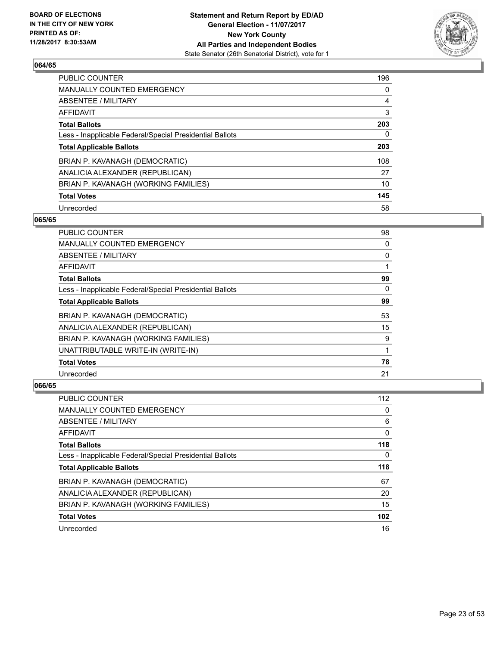

| <b>PUBLIC COUNTER</b>                                    | 196 |
|----------------------------------------------------------|-----|
| MANUALLY COUNTED EMERGENCY                               | 0   |
| ABSENTEE / MILITARY                                      | 4   |
| AFFIDAVIT                                                | 3   |
| <b>Total Ballots</b>                                     | 203 |
| Less - Inapplicable Federal/Special Presidential Ballots | 0   |
| <b>Total Applicable Ballots</b>                          | 203 |
| BRIAN P. KAVANAGH (DEMOCRATIC)                           | 108 |
| ANALICIA ALEXANDER (REPUBLICAN)                          | 27  |
| BRIAN P. KAVANAGH (WORKING FAMILIES)                     | 10  |
| <b>Total Votes</b>                                       | 145 |
| Unrecorded                                               | 58  |

#### **065/65**

| <b>PUBLIC COUNTER</b>                                    | 98 |
|----------------------------------------------------------|----|
| <b>MANUALLY COUNTED EMERGENCY</b>                        | 0  |
| ABSENTEE / MILITARY                                      | 0  |
| AFFIDAVIT                                                |    |
| <b>Total Ballots</b>                                     | 99 |
| Less - Inapplicable Federal/Special Presidential Ballots | 0  |
| <b>Total Applicable Ballots</b>                          | 99 |
| BRIAN P. KAVANAGH (DEMOCRATIC)                           | 53 |
| ANALICIA ALEXANDER (REPUBLICAN)                          | 15 |
| BRIAN P. KAVANAGH (WORKING FAMILIES)                     | 9  |
| UNATTRIBUTABLE WRITE-IN (WRITE-IN)                       |    |
| <b>Total Votes</b>                                       | 78 |
| Unrecorded                                               | 21 |

| PUBLIC COUNTER                                           | 112 |
|----------------------------------------------------------|-----|
| <b>MANUALLY COUNTED EMERGENCY</b>                        | 0   |
| ABSENTEE / MILITARY                                      | 6   |
| AFFIDAVIT                                                | 0   |
| <b>Total Ballots</b>                                     | 118 |
| Less - Inapplicable Federal/Special Presidential Ballots | 0   |
|                                                          |     |
| <b>Total Applicable Ballots</b>                          | 118 |
| BRIAN P. KAVANAGH (DEMOCRATIC)                           | 67  |
| ANALICIA ALEXANDER (REPUBLICAN)                          | 20  |
| BRIAN P. KAVANAGH (WORKING FAMILIES)                     | 15  |
| <b>Total Votes</b>                                       | 102 |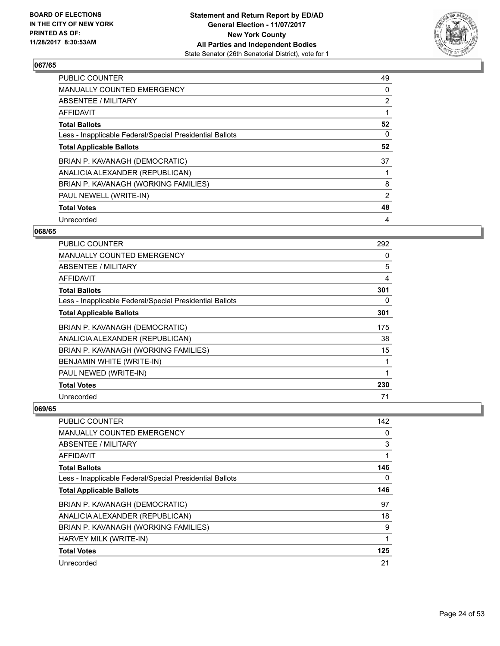

| <b>PUBLIC COUNTER</b>                                    | 49             |
|----------------------------------------------------------|----------------|
| <b>MANUALLY COUNTED EMERGENCY</b>                        | 0              |
| ABSENTEE / MILITARY                                      | $\overline{2}$ |
| AFFIDAVIT                                                |                |
| <b>Total Ballots</b>                                     | 52             |
| Less - Inapplicable Federal/Special Presidential Ballots | 0              |
| <b>Total Applicable Ballots</b>                          | 52             |
| BRIAN P. KAVANAGH (DEMOCRATIC)                           | 37             |
| ANALICIA ALEXANDER (REPUBLICAN)                          |                |
| BRIAN P. KAVANAGH (WORKING FAMILIES)                     | 8              |
| PAUL NEWELL (WRITE-IN)                                   | 2              |
| <b>Total Votes</b>                                       | 48             |
| Unrecorded                                               | 4              |

# **068/65**

| PUBLIC COUNTER                                           | 292            |
|----------------------------------------------------------|----------------|
| <b>MANUALLY COUNTED EMERGENCY</b>                        | 0              |
| ABSENTEE / MILITARY                                      | 5              |
| AFFIDAVIT                                                | $\overline{4}$ |
| <b>Total Ballots</b>                                     | 301            |
| Less - Inapplicable Federal/Special Presidential Ballots | 0              |
| <b>Total Applicable Ballots</b>                          | 301            |
| BRIAN P. KAVANAGH (DEMOCRATIC)                           | 175            |
| ANALICIA ALEXANDER (REPUBLICAN)                          | 38             |
| BRIAN P. KAVANAGH (WORKING FAMILIES)                     | 15             |
| BENJAMIN WHITE (WRITE-IN)                                | 1              |
| PAUL NEWED (WRITE-IN)                                    | 1              |
| <b>Total Votes</b>                                       | 230            |
| Unrecorded                                               | 71             |

| PUBLIC COUNTER                                           | 142 |
|----------------------------------------------------------|-----|
| <b>MANUALLY COUNTED EMERGENCY</b>                        | 0   |
| ABSENTEE / MILITARY                                      | 3   |
| AFFIDAVIT                                                |     |
| <b>Total Ballots</b>                                     | 146 |
| Less - Inapplicable Federal/Special Presidential Ballots | 0   |
| <b>Total Applicable Ballots</b>                          | 146 |
| BRIAN P. KAVANAGH (DEMOCRATIC)                           | 97  |
| ANALICIA ALEXANDER (REPUBLICAN)                          | 18  |
| BRIAN P. KAVANAGH (WORKING FAMILIES)                     | 9   |
| HARVEY MILK (WRITE-IN)                                   | 1   |
| <b>Total Votes</b>                                       | 125 |
| Unrecorded                                               | 21  |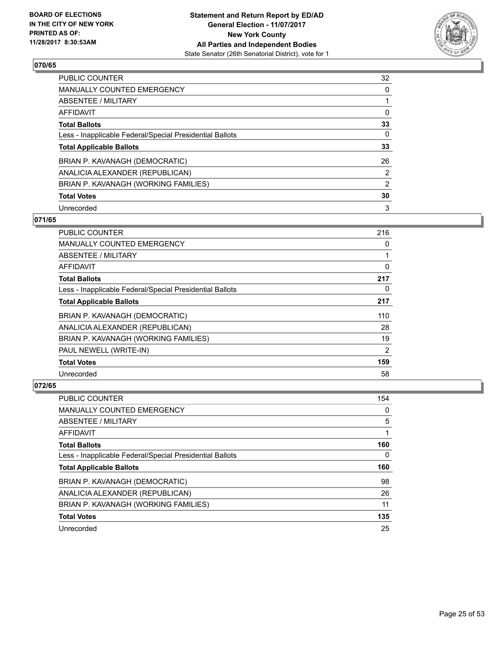

| <b>PUBLIC COUNTER</b>                                    | 32             |
|----------------------------------------------------------|----------------|
| <b>MANUALLY COUNTED EMERGENCY</b>                        | 0              |
| ABSENTEE / MILITARY                                      |                |
| AFFIDAVIT                                                | 0              |
| <b>Total Ballots</b>                                     | 33             |
| Less - Inapplicable Federal/Special Presidential Ballots | 0              |
| <b>Total Applicable Ballots</b>                          | 33             |
| BRIAN P. KAVANAGH (DEMOCRATIC)                           | 26             |
| ANALICIA ALEXANDER (REPUBLICAN)                          | $\overline{2}$ |
| BRIAN P. KAVANAGH (WORKING FAMILIES)                     | 2              |
| <b>Total Votes</b>                                       | 30             |
| Unrecorded                                               | 3              |

# **071/65**

| <b>PUBLIC COUNTER</b>                                    | 216 |
|----------------------------------------------------------|-----|
| <b>MANUALLY COUNTED EMERGENCY</b>                        | 0   |
| ABSENTEE / MILITARY                                      | 1   |
| AFFIDAVIT                                                | 0   |
| <b>Total Ballots</b>                                     | 217 |
| Less - Inapplicable Federal/Special Presidential Ballots | 0   |
| <b>Total Applicable Ballots</b>                          | 217 |
| BRIAN P. KAVANAGH (DEMOCRATIC)                           | 110 |
| ANALICIA ALEXANDER (REPUBLICAN)                          | 28  |
| BRIAN P. KAVANAGH (WORKING FAMILIES)                     | 19  |
| PAUL NEWELL (WRITE-IN)                                   | 2   |
| <b>Total Votes</b>                                       | 159 |
| Unrecorded                                               | 58  |

| <b>PUBLIC COUNTER</b>                                    | 154 |
|----------------------------------------------------------|-----|
| <b>MANUALLY COUNTED EMERGENCY</b>                        | 0   |
| ABSENTEE / MILITARY                                      | 5   |
| AFFIDAVIT                                                |     |
| <b>Total Ballots</b>                                     | 160 |
| Less - Inapplicable Federal/Special Presidential Ballots | 0   |
| <b>Total Applicable Ballots</b>                          | 160 |
|                                                          |     |
| BRIAN P. KAVANAGH (DEMOCRATIC)                           | 98  |
| ANALICIA ALEXANDER (REPUBLICAN)                          | 26  |
| BRIAN P. KAVANAGH (WORKING FAMILIES)                     | 11  |
| <b>Total Votes</b>                                       | 135 |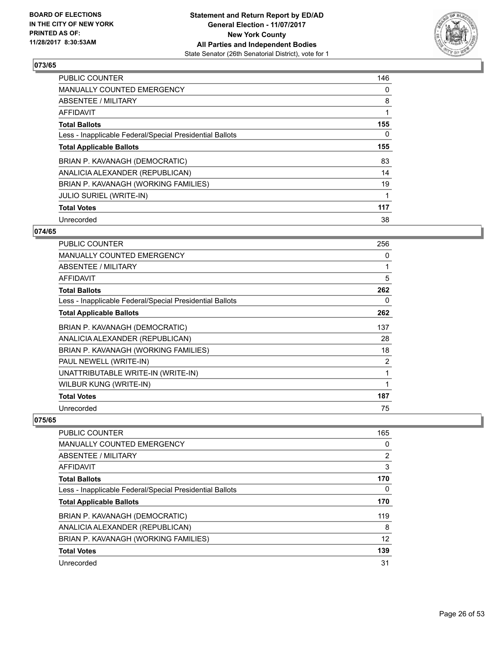

| <b>PUBLIC COUNTER</b>                                    | 146 |
|----------------------------------------------------------|-----|
| MANUALLY COUNTED EMERGENCY                               | 0   |
| ABSENTEE / MILITARY                                      | 8   |
| AFFIDAVIT                                                |     |
| <b>Total Ballots</b>                                     | 155 |
| Less - Inapplicable Federal/Special Presidential Ballots | 0   |
| <b>Total Applicable Ballots</b>                          | 155 |
| BRIAN P. KAVANAGH (DEMOCRATIC)                           | 83  |
| ANALICIA ALEXANDER (REPUBLICAN)                          | 14  |
| BRIAN P. KAVANAGH (WORKING FAMILIES)                     | 19  |
| <b>JULIO SURIEL (WRITE-IN)</b>                           |     |
| <b>Total Votes</b>                                       | 117 |
| Unrecorded                                               | 38  |

# **074/65**

| PUBLIC COUNTER                                           | 256            |
|----------------------------------------------------------|----------------|
| <b>MANUALLY COUNTED EMERGENCY</b>                        | 0              |
| <b>ABSENTEE / MILITARY</b>                               | $\mathbf{1}$   |
| AFFIDAVIT                                                | 5              |
| <b>Total Ballots</b>                                     | 262            |
| Less - Inapplicable Federal/Special Presidential Ballots | 0              |
| <b>Total Applicable Ballots</b>                          | 262            |
| BRIAN P. KAVANAGH (DEMOCRATIC)                           | 137            |
| ANALICIA ALEXANDER (REPUBLICAN)                          | 28             |
| BRIAN P. KAVANAGH (WORKING FAMILIES)                     | 18             |
| PAUL NEWELL (WRITE-IN)                                   | $\overline{2}$ |
| UNATTRIBUTABLE WRITE-IN (WRITE-IN)                       | 1              |
| WILBUR KUNG (WRITE-IN)                                   | 1              |
| <b>Total Votes</b>                                       | 187            |
| Unrecorded                                               | 75             |

| <b>PUBLIC COUNTER</b>                                    | 165            |
|----------------------------------------------------------|----------------|
| MANUALLY COUNTED EMERGENCY                               | 0              |
| ABSENTEE / MILITARY                                      | $\overline{2}$ |
| AFFIDAVIT                                                | 3              |
| <b>Total Ballots</b>                                     | 170            |
| Less - Inapplicable Federal/Special Presidential Ballots | 0              |
| <b>Total Applicable Ballots</b>                          | 170            |
| BRIAN P. KAVANAGH (DEMOCRATIC)                           | 119            |
| ANALICIA ALEXANDER (REPUBLICAN)                          | 8              |
| BRIAN P. KAVANAGH (WORKING FAMILIES)                     | 12             |
| <b>Total Votes</b>                                       | 139            |
| Unrecorded                                               | 31             |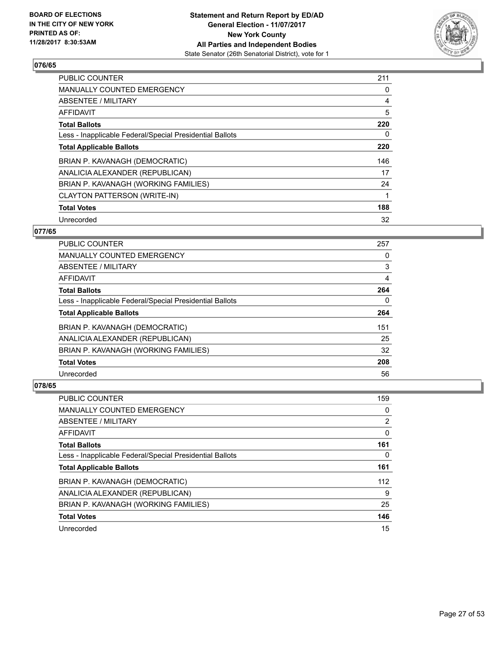

| PUBLIC COUNTER                                           | 211 |
|----------------------------------------------------------|-----|
| <b>MANUALLY COUNTED EMERGENCY</b>                        | 0   |
| ABSENTEE / MILITARY                                      | 4   |
| AFFIDAVIT                                                | 5   |
| <b>Total Ballots</b>                                     | 220 |
| Less - Inapplicable Federal/Special Presidential Ballots | 0   |
| <b>Total Applicable Ballots</b>                          | 220 |
| BRIAN P. KAVANAGH (DEMOCRATIC)                           | 146 |
| ANALICIA ALEXANDER (REPUBLICAN)                          | 17  |
| BRIAN P. KAVANAGH (WORKING FAMILIES)                     | 24  |
| CLAYTON PATTERSON (WRITE-IN)                             | 1   |
| <b>Total Votes</b>                                       | 188 |
| Unrecorded                                               | 32  |

# **077/65**

| <b>PUBLIC COUNTER</b>                                    | 257 |
|----------------------------------------------------------|-----|
| <b>MANUALLY COUNTED EMERGENCY</b>                        | 0   |
| ABSENTEE / MILITARY                                      | 3   |
| <b>AFFIDAVIT</b>                                         | 4   |
| <b>Total Ballots</b>                                     | 264 |
| Less - Inapplicable Federal/Special Presidential Ballots | 0   |
| <b>Total Applicable Ballots</b>                          | 264 |
| BRIAN P. KAVANAGH (DEMOCRATIC)                           | 151 |
| ANALICIA ALEXANDER (REPUBLICAN)                          | 25  |
| BRIAN P. KAVANAGH (WORKING FAMILIES)                     | 32  |
| <b>Total Votes</b>                                       | 208 |
| Unrecorded                                               | 56  |

| <b>PUBLIC COUNTER</b>                                    | 159 |
|----------------------------------------------------------|-----|
| <b>MANUALLY COUNTED EMERGENCY</b>                        | 0   |
| ABSENTEE / MILITARY                                      | 2   |
| AFFIDAVIT                                                | 0   |
| <b>Total Ballots</b>                                     | 161 |
| Less - Inapplicable Federal/Special Presidential Ballots | 0   |
| <b>Total Applicable Ballots</b>                          | 161 |
| BRIAN P. KAVANAGH (DEMOCRATIC)                           | 112 |
| ANALICIA ALEXANDER (REPUBLICAN)                          | 9   |
| BRIAN P. KAVANAGH (WORKING FAMILIES)                     | 25  |
| <b>Total Votes</b>                                       | 146 |
| Unrecorded                                               | 15  |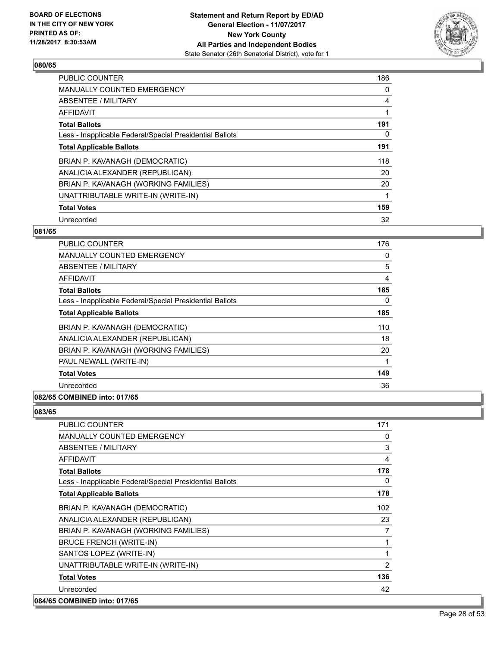

| <b>PUBLIC COUNTER</b>                                    | 186 |
|----------------------------------------------------------|-----|
| <b>MANUALLY COUNTED EMERGENCY</b>                        | 0   |
| ABSENTEE / MILITARY                                      | 4   |
| <b>AFFIDAVIT</b>                                         |     |
| <b>Total Ballots</b>                                     | 191 |
| Less - Inapplicable Federal/Special Presidential Ballots | 0   |
| <b>Total Applicable Ballots</b>                          | 191 |
| BRIAN P. KAVANAGH (DEMOCRATIC)                           | 118 |
| ANALICIA ALEXANDER (REPUBLICAN)                          | 20  |
| BRIAN P. KAVANAGH (WORKING FAMILIES)                     | 20  |
| UNATTRIBUTABLE WRITE-IN (WRITE-IN)                       |     |
| <b>Total Votes</b>                                       | 159 |
| Unrecorded                                               | 32  |

# **081/65**

| <b>PUBLIC COUNTER</b>                                    | 176      |
|----------------------------------------------------------|----------|
| <b>MANUALLY COUNTED EMERGENCY</b>                        | 0        |
| <b>ABSENTEE / MILITARY</b>                               | 5        |
| AFFIDAVIT                                                | 4        |
| <b>Total Ballots</b>                                     | 185      |
| Less - Inapplicable Federal/Special Presidential Ballots | $\Omega$ |
| <b>Total Applicable Ballots</b>                          | 185      |
| BRIAN P. KAVANAGH (DEMOCRATIC)                           | 110      |
| ANALICIA ALEXANDER (REPUBLICAN)                          | 18       |
| BRIAN P. KAVANAGH (WORKING FAMILIES)                     | 20       |
| PAUL NEWALL (WRITE-IN)                                   |          |
| <b>Total Votes</b>                                       | 149      |
| Unrecorded                                               | 36       |
| 082/65 COMBINED into: 017/65                             |          |

| <b>PUBLIC COUNTER</b>                                    | 171 |
|----------------------------------------------------------|-----|
| <b>MANUALLY COUNTED EMERGENCY</b>                        | 0   |
| ABSENTEE / MILITARY                                      | 3   |
| <b>AFFIDAVIT</b>                                         | 4   |
| <b>Total Ballots</b>                                     | 178 |
| Less - Inapplicable Federal/Special Presidential Ballots | 0   |
| <b>Total Applicable Ballots</b>                          | 178 |
| BRIAN P. KAVANAGH (DEMOCRATIC)                           | 102 |
| ANALICIA ALEXANDER (REPUBLICAN)                          | 23  |
| BRIAN P. KAVANAGH (WORKING FAMILIES)                     | 7   |
| <b>BRUCE FRENCH (WRITE-IN)</b>                           | 1   |
| SANTOS LOPEZ (WRITE-IN)                                  | 1   |
| UNATTRIBUTABLE WRITE-IN (WRITE-IN)                       | 2   |
| <b>Total Votes</b>                                       | 136 |
| Unrecorded                                               | 42  |
| 084/65 COMBINED into: 017/65                             |     |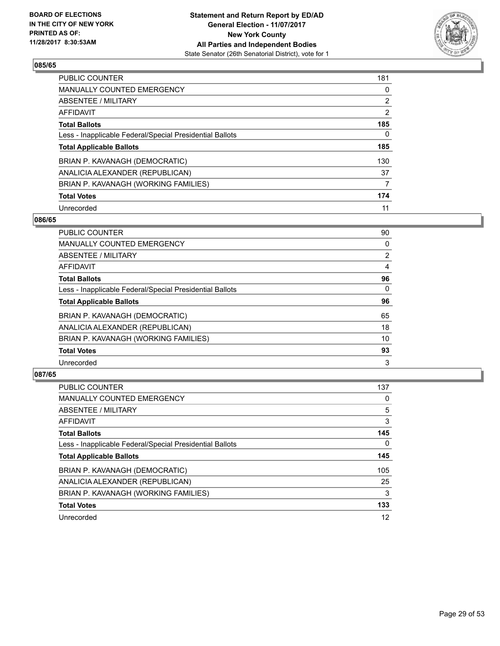

| <b>PUBLIC COUNTER</b>                                    | 181            |
|----------------------------------------------------------|----------------|
| MANUALLY COUNTED EMERGENCY                               | 0              |
| ABSENTEE / MILITARY                                      | $\overline{2}$ |
| AFFIDAVIT                                                | 2              |
| <b>Total Ballots</b>                                     | 185            |
| Less - Inapplicable Federal/Special Presidential Ballots | 0              |
| <b>Total Applicable Ballots</b>                          | 185            |
| BRIAN P. KAVANAGH (DEMOCRATIC)                           | 130            |
| ANALICIA ALEXANDER (REPUBLICAN)                          | 37             |
| BRIAN P. KAVANAGH (WORKING FAMILIES)                     | 7              |
| <b>Total Votes</b>                                       | 174            |
| Unrecorded                                               | 11             |

#### **086/65**

| <b>PUBLIC COUNTER</b>                                    | 90             |
|----------------------------------------------------------|----------------|
| <b>MANUALLY COUNTED EMERGENCY</b>                        | 0              |
| ABSENTEE / MILITARY                                      | $\overline{2}$ |
| <b>AFFIDAVIT</b>                                         | 4              |
| <b>Total Ballots</b>                                     | 96             |
| Less - Inapplicable Federal/Special Presidential Ballots | $\Omega$       |
| <b>Total Applicable Ballots</b>                          | 96             |
| BRIAN P. KAVANAGH (DEMOCRATIC)                           | 65             |
| ANALICIA ALEXANDER (REPUBLICAN)                          | 18             |
| BRIAN P. KAVANAGH (WORKING FAMILIES)                     | 10             |
| <b>Total Votes</b>                                       | 93             |
| Unrecorded                                               | 3              |

| PUBLIC COUNTER                                           | 137 |
|----------------------------------------------------------|-----|
| <b>MANUALLY COUNTED EMERGENCY</b>                        | 0   |
| ABSENTEE / MILITARY                                      | 5   |
| AFFIDAVIT                                                | 3   |
| <b>Total Ballots</b>                                     | 145 |
| Less - Inapplicable Federal/Special Presidential Ballots | 0   |
| <b>Total Applicable Ballots</b>                          | 145 |
| BRIAN P. KAVANAGH (DEMOCRATIC)                           | 105 |
| ANALICIA ALEXANDER (REPUBLICAN)                          | 25  |
| BRIAN P. KAVANAGH (WORKING FAMILIES)                     | 3   |
| <b>Total Votes</b>                                       | 133 |
| Unrecorded                                               | 12  |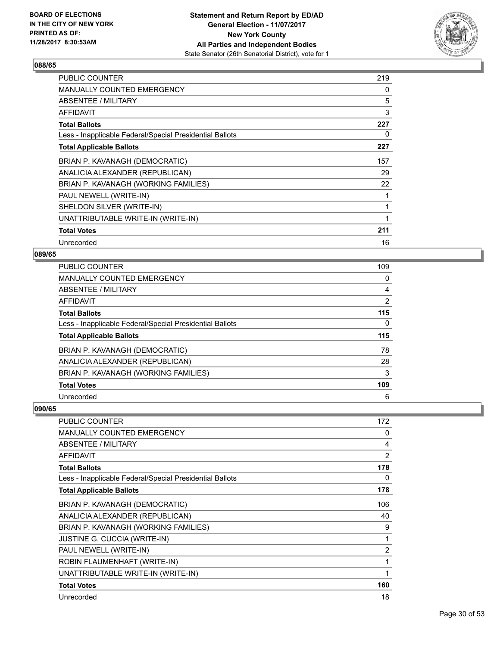

| <b>PUBLIC COUNTER</b>                                    | 219 |
|----------------------------------------------------------|-----|
| <b>MANUALLY COUNTED EMERGENCY</b>                        | 0   |
| ABSENTEE / MILITARY                                      | 5   |
| <b>AFFIDAVIT</b>                                         | 3   |
| <b>Total Ballots</b>                                     | 227 |
| Less - Inapplicable Federal/Special Presidential Ballots | 0   |
| <b>Total Applicable Ballots</b>                          | 227 |
| BRIAN P. KAVANAGH (DEMOCRATIC)                           | 157 |
| ANALICIA ALEXANDER (REPUBLICAN)                          | 29  |
| BRIAN P. KAVANAGH (WORKING FAMILIES)                     | 22  |
| PAUL NEWELL (WRITE-IN)                                   |     |
| SHELDON SILVER (WRITE-IN)                                |     |
| UNATTRIBUTABLE WRITE-IN (WRITE-IN)                       | 1   |
| <b>Total Votes</b>                                       | 211 |
| Unrecorded                                               | 16  |

# **089/65**

| <b>PUBLIC COUNTER</b>                                    | 109            |
|----------------------------------------------------------|----------------|
| <b>MANUALLY COUNTED EMERGENCY</b>                        | 0              |
| <b>ABSENTEE / MILITARY</b>                               | 4              |
| <b>AFFIDAVIT</b>                                         | $\overline{2}$ |
| <b>Total Ballots</b>                                     | 115            |
| Less - Inapplicable Federal/Special Presidential Ballots | 0              |
| <b>Total Applicable Ballots</b>                          | 115            |
| BRIAN P. KAVANAGH (DEMOCRATIC)                           | 78             |
| ANALICIA ALEXANDER (REPUBLICAN)                          | 28             |
| BRIAN P. KAVANAGH (WORKING FAMILIES)                     | 3              |
| <b>Total Votes</b>                                       | 109            |
|                                                          |                |

| <b>PUBLIC COUNTER</b>                                    | 172            |
|----------------------------------------------------------|----------------|
| MANUALLY COUNTED EMERGENCY                               | 0              |
| ABSENTEE / MILITARY                                      | 4              |
| AFFIDAVIT                                                | 2              |
| <b>Total Ballots</b>                                     | 178            |
| Less - Inapplicable Federal/Special Presidential Ballots | 0              |
| <b>Total Applicable Ballots</b>                          | 178            |
| BRIAN P. KAVANAGH (DEMOCRATIC)                           | 106            |
| ANALICIA ALEXANDER (REPUBLICAN)                          | 40             |
| BRIAN P. KAVANAGH (WORKING FAMILIES)                     | 9              |
| <b>JUSTINE G. CUCCIA (WRITE-IN)</b>                      | 1              |
| PAUL NEWELL (WRITE-IN)                                   | $\overline{2}$ |
| ROBIN FLAUMENHAFT (WRITE-IN)                             | 1              |
| UNATTRIBUTABLE WRITE-IN (WRITE-IN)                       | 1              |
| <b>Total Votes</b>                                       | 160            |
| Unrecorded                                               | 18             |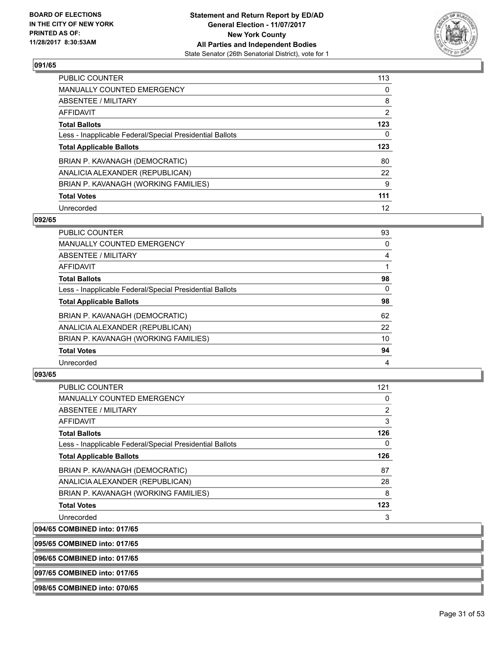

| <b>PUBLIC COUNTER</b>                                    | 113 |
|----------------------------------------------------------|-----|
| MANUALLY COUNTED EMERGENCY                               | 0   |
| ABSENTEE / MILITARY                                      | 8   |
| AFFIDAVIT                                                | 2   |
| <b>Total Ballots</b>                                     | 123 |
| Less - Inapplicable Federal/Special Presidential Ballots | 0   |
| <b>Total Applicable Ballots</b>                          | 123 |
| BRIAN P. KAVANAGH (DEMOCRATIC)                           | 80  |
| ANALICIA ALEXANDER (REPUBLICAN)                          | 22  |
| BRIAN P. KAVANAGH (WORKING FAMILIES)                     | 9   |
| <b>Total Votes</b>                                       | 111 |
| Unrecorded                                               | 12  |

#### **092/65**

| <b>PUBLIC COUNTER</b>                                    | 93       |
|----------------------------------------------------------|----------|
| <b>MANUALLY COUNTED EMERGENCY</b>                        | 0        |
| ABSENTEE / MILITARY                                      | 4        |
| <b>AFFIDAVIT</b>                                         |          |
| <b>Total Ballots</b>                                     | 98       |
| Less - Inapplicable Federal/Special Presidential Ballots | $\Omega$ |
| <b>Total Applicable Ballots</b>                          | 98       |
| BRIAN P. KAVANAGH (DEMOCRATIC)                           | 62       |
| ANALICIA ALEXANDER (REPUBLICAN)                          | 22       |
| BRIAN P. KAVANAGH (WORKING FAMILIES)                     | 10       |
| <b>Total Votes</b>                                       | 94       |
| Unrecorded                                               | 4        |

#### **093/65**

| <b>PUBLIC COUNTER</b>                                    | 121          |
|----------------------------------------------------------|--------------|
| <b>MANUALLY COUNTED EMERGENCY</b>                        | 0            |
| ABSENTEE / MILITARY                                      | 2            |
| AFFIDAVIT                                                | 3            |
| <b>Total Ballots</b>                                     | 126          |
| Less - Inapplicable Federal/Special Presidential Ballots | $\mathbf{0}$ |
| <b>Total Applicable Ballots</b>                          | 126          |
| BRIAN P. KAVANAGH (DEMOCRATIC)                           | 87           |
| ANALICIA ALEXANDER (REPUBLICAN)                          | 28           |
| BRIAN P. KAVANAGH (WORKING FAMILIES)                     | 8            |
| <b>Total Votes</b>                                       | 123          |
| Unrecorded                                               | 3            |
| 094/65 COMBINED into: 017/65                             |              |

**095/65 COMBINED into: 017/65**

**096/65 COMBINED into: 017/65**

**097/65 COMBINED into: 017/65**

**098/65 COMBINED into: 070/65**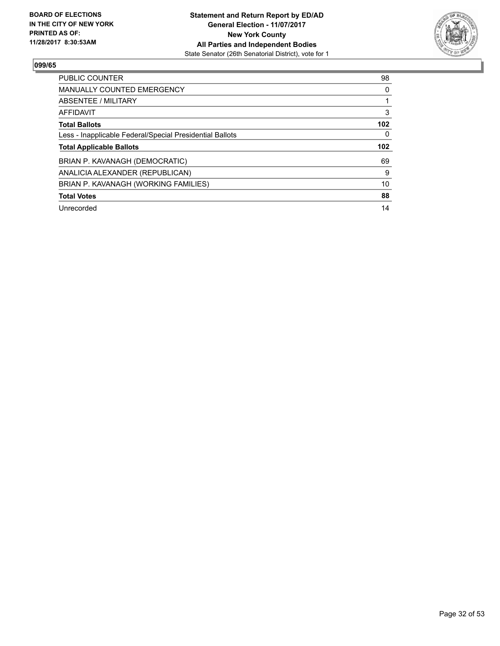

| <b>PUBLIC COUNTER</b>                                    | 98               |
|----------------------------------------------------------|------------------|
| <b>MANUALLY COUNTED EMERGENCY</b>                        | 0                |
| ABSENTEE / MILITARY                                      |                  |
| AFFIDAVIT                                                | 3                |
| <b>Total Ballots</b>                                     | 102 <sub>2</sub> |
| Less - Inapplicable Federal/Special Presidential Ballots | 0                |
|                                                          | 102 <sub>2</sub> |
| <b>Total Applicable Ballots</b>                          |                  |
| BRIAN P. KAVANAGH (DEMOCRATIC)                           | 69               |
| ANALICIA ALEXANDER (REPUBLICAN)                          | 9                |
| BRIAN P. KAVANAGH (WORKING FAMILIES)                     | 10               |
| <b>Total Votes</b>                                       | 88               |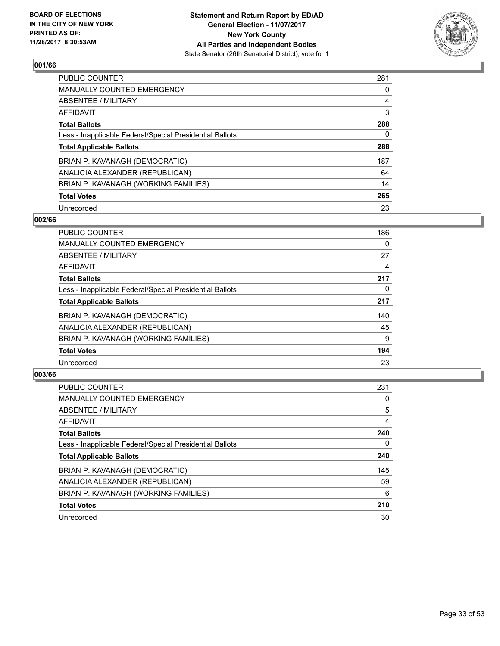

| <b>PUBLIC COUNTER</b>                                    | 281 |
|----------------------------------------------------------|-----|
| MANUALLY COUNTED EMERGENCY                               | 0   |
| ABSENTEE / MILITARY                                      | 4   |
| AFFIDAVIT                                                | 3   |
| <b>Total Ballots</b>                                     | 288 |
| Less - Inapplicable Federal/Special Presidential Ballots | 0   |
| <b>Total Applicable Ballots</b>                          | 288 |
| BRIAN P. KAVANAGH (DEMOCRATIC)                           | 187 |
| ANALICIA ALEXANDER (REPUBLICAN)                          | 64  |
| BRIAN P. KAVANAGH (WORKING FAMILIES)                     | 14  |
| <b>Total Votes</b>                                       | 265 |
| Unrecorded                                               | 23  |

#### **002/66**

| <b>PUBLIC COUNTER</b>                                    | 186 |
|----------------------------------------------------------|-----|
| <b>MANUALLY COUNTED EMERGENCY</b>                        | 0   |
| ABSENTEE / MILITARY                                      | 27  |
| <b>AFFIDAVIT</b>                                         | 4   |
| <b>Total Ballots</b>                                     | 217 |
| Less - Inapplicable Federal/Special Presidential Ballots | 0   |
| <b>Total Applicable Ballots</b>                          | 217 |
| BRIAN P. KAVANAGH (DEMOCRATIC)                           | 140 |
| ANALICIA ALEXANDER (REPUBLICAN)                          | 45  |
| BRIAN P. KAVANAGH (WORKING FAMILIES)                     | 9   |
| <b>Total Votes</b>                                       | 194 |
| Unrecorded                                               | 23  |

| <b>PUBLIC COUNTER</b>                                    | 231 |
|----------------------------------------------------------|-----|
| <b>MANUALLY COUNTED EMERGENCY</b>                        | 0   |
| ABSENTEE / MILITARY                                      | 5   |
| AFFIDAVIT                                                | 4   |
| <b>Total Ballots</b>                                     | 240 |
| Less - Inapplicable Federal/Special Presidential Ballots | 0   |
| <b>Total Applicable Ballots</b>                          | 240 |
| BRIAN P. KAVANAGH (DEMOCRATIC)                           | 145 |
| ANALICIA ALEXANDER (REPUBLICAN)                          | 59  |
| BRIAN P. KAVANAGH (WORKING FAMILIES)                     | 6   |
| <b>Total Votes</b>                                       | 210 |
| Unrecorded                                               | 30  |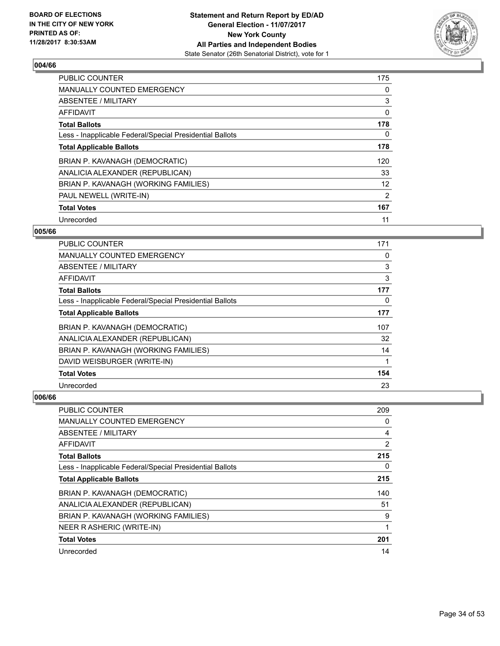

| <b>PUBLIC COUNTER</b>                                    | 175 |
|----------------------------------------------------------|-----|
| <b>MANUALLY COUNTED EMERGENCY</b>                        | 0   |
| ABSENTEE / MILITARY                                      | 3   |
| <b>AFFIDAVIT</b>                                         | 0   |
| <b>Total Ballots</b>                                     | 178 |
| Less - Inapplicable Federal/Special Presidential Ballots | 0   |
| <b>Total Applicable Ballots</b>                          | 178 |
| BRIAN P. KAVANAGH (DEMOCRATIC)                           | 120 |
| ANALICIA ALEXANDER (REPUBLICAN)                          | 33  |
| BRIAN P. KAVANAGH (WORKING FAMILIES)                     | 12  |
| PAUL NEWELL (WRITE-IN)                                   | 2   |
| <b>Total Votes</b>                                       | 167 |
| Unrecorded                                               | 11  |

# **005/66**

| <b>PUBLIC COUNTER</b>                                    | 171 |
|----------------------------------------------------------|-----|
| <b>MANUALLY COUNTED EMERGENCY</b>                        | 0   |
| ABSENTEE / MILITARY                                      | 3   |
| AFFIDAVIT                                                | 3   |
| <b>Total Ballots</b>                                     | 177 |
| Less - Inapplicable Federal/Special Presidential Ballots | 0   |
| <b>Total Applicable Ballots</b>                          | 177 |
| BRIAN P. KAVANAGH (DEMOCRATIC)                           | 107 |
| ANALICIA ALEXANDER (REPUBLICAN)                          | 32  |
| BRIAN P. KAVANAGH (WORKING FAMILIES)                     | 14  |
| DAVID WEISBURGER (WRITE-IN)                              |     |
| <b>Total Votes</b>                                       | 154 |
| Unrecorded                                               | 23  |

| <b>PUBLIC COUNTER</b>                                    | 209            |
|----------------------------------------------------------|----------------|
| <b>MANUALLY COUNTED EMERGENCY</b>                        | 0              |
| ABSENTEE / MILITARY                                      | 4              |
| AFFIDAVIT                                                | $\overline{2}$ |
| <b>Total Ballots</b>                                     | 215            |
| Less - Inapplicable Federal/Special Presidential Ballots | 0              |
| <b>Total Applicable Ballots</b>                          | 215            |
| BRIAN P. KAVANAGH (DEMOCRATIC)                           | 140            |
| ANALICIA ALEXANDER (REPUBLICAN)                          | 51             |
| BRIAN P. KAVANAGH (WORKING FAMILIES)                     | 9              |
| NEER R ASHERIC (WRITE-IN)                                | 1              |
| <b>Total Votes</b>                                       | 201            |
| Unrecorded                                               | 14             |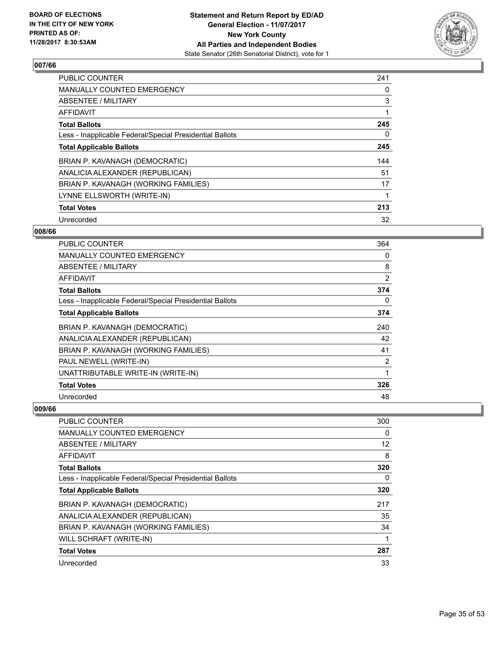

| <b>PUBLIC COUNTER</b>                                    | 241 |
|----------------------------------------------------------|-----|
| <b>MANUALLY COUNTED EMERGENCY</b>                        | 0   |
| ABSENTEE / MILITARY                                      | 3   |
| <b>AFFIDAVIT</b>                                         |     |
| <b>Total Ballots</b>                                     | 245 |
| Less - Inapplicable Federal/Special Presidential Ballots | 0   |
| <b>Total Applicable Ballots</b>                          | 245 |
| BRIAN P. KAVANAGH (DEMOCRATIC)                           | 144 |
| ANALICIA ALEXANDER (REPUBLICAN)                          | 51  |
| BRIAN P. KAVANAGH (WORKING FAMILIES)                     | 17  |
| LYNNE ELLSWORTH (WRITE-IN)                               |     |
| <b>Total Votes</b>                                       | 213 |
| Unrecorded                                               | 32  |

# **008/66**

| <b>PUBLIC COUNTER</b>                                    | 364 |
|----------------------------------------------------------|-----|
| <b>MANUALLY COUNTED EMERGENCY</b>                        | 0   |
| ABSENTEE / MILITARY                                      | 8   |
| AFFIDAVIT                                                | 2   |
| <b>Total Ballots</b>                                     | 374 |
| Less - Inapplicable Federal/Special Presidential Ballots | 0   |
| <b>Total Applicable Ballots</b>                          | 374 |
| BRIAN P. KAVANAGH (DEMOCRATIC)                           | 240 |
| ANALICIA ALEXANDER (REPUBLICAN)                          | 42  |
| BRIAN P. KAVANAGH (WORKING FAMILIES)                     | 41  |
| PAUL NEWELL (WRITE-IN)                                   | 2   |
| UNATTRIBUTABLE WRITE-IN (WRITE-IN)                       | 1   |
| <b>Total Votes</b>                                       | 326 |
| Unrecorded                                               | 48  |

| <b>PUBLIC COUNTER</b>                                    | 300 |
|----------------------------------------------------------|-----|
| <b>MANUALLY COUNTED EMERGENCY</b>                        | 0   |
| ABSENTEE / MILITARY                                      | 12  |
| AFFIDAVIT                                                | 8   |
| <b>Total Ballots</b>                                     | 320 |
| Less - Inapplicable Federal/Special Presidential Ballots | 0   |
| <b>Total Applicable Ballots</b>                          | 320 |
| BRIAN P. KAVANAGH (DEMOCRATIC)                           | 217 |
| ANALICIA ALEXANDER (REPUBLICAN)                          | 35  |
| BRIAN P. KAVANAGH (WORKING FAMILIES)                     | 34  |
| WILL SCHRAFT (WRITE-IN)                                  |     |
| <b>Total Votes</b>                                       | 287 |
| Unrecorded                                               | 33  |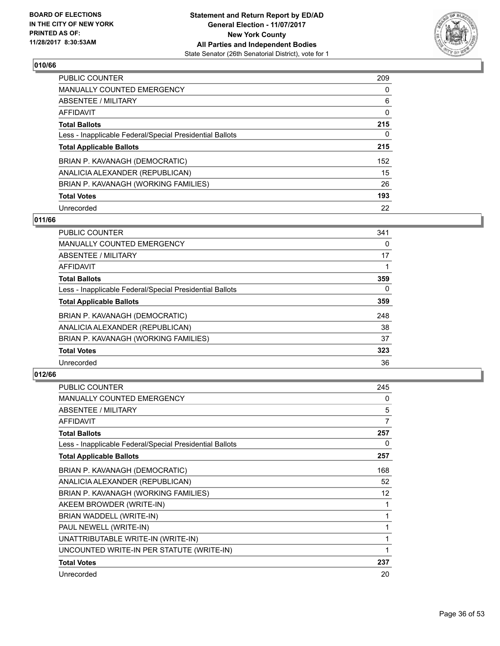

| <b>PUBLIC COUNTER</b>                                    | 209 |
|----------------------------------------------------------|-----|
| MANUALLY COUNTED EMERGENCY                               | 0   |
| ABSENTEE / MILITARY                                      | 6   |
| AFFIDAVIT                                                | 0   |
| <b>Total Ballots</b>                                     | 215 |
| Less - Inapplicable Federal/Special Presidential Ballots | 0   |
| <b>Total Applicable Ballots</b>                          | 215 |
| BRIAN P. KAVANAGH (DEMOCRATIC)                           | 152 |
| ANALICIA ALEXANDER (REPUBLICAN)                          | 15  |
| BRIAN P. KAVANAGH (WORKING FAMILIES)                     | 26  |
| <b>Total Votes</b>                                       | 193 |
| Unrecorded                                               | 22  |

# **011/66**

| <b>PUBLIC COUNTER</b>                                    | 341 |
|----------------------------------------------------------|-----|
| <b>MANUALLY COUNTED EMERGENCY</b>                        | 0   |
| ABSENTEE / MILITARY                                      | 17  |
| <b>AFFIDAVIT</b>                                         |     |
| <b>Total Ballots</b>                                     | 359 |
| Less - Inapplicable Federal/Special Presidential Ballots | 0   |
| <b>Total Applicable Ballots</b>                          | 359 |
| BRIAN P. KAVANAGH (DEMOCRATIC)                           | 248 |
| ANALICIA ALEXANDER (REPUBLICAN)                          | 38  |
| BRIAN P. KAVANAGH (WORKING FAMILIES)                     | 37  |
| <b>Total Votes</b>                                       | 323 |
| Unrecorded                                               | 36  |

| <b>PUBLIC COUNTER</b>                                    | 245 |
|----------------------------------------------------------|-----|
| <b>MANUALLY COUNTED EMERGENCY</b>                        | 0   |
| <b>ABSENTEE / MILITARY</b>                               | 5   |
| <b>AFFIDAVIT</b>                                         | 7   |
| <b>Total Ballots</b>                                     | 257 |
| Less - Inapplicable Federal/Special Presidential Ballots | 0   |
| <b>Total Applicable Ballots</b>                          | 257 |
| BRIAN P. KAVANAGH (DEMOCRATIC)                           | 168 |
| ANALICIA ALEXANDER (REPUBLICAN)                          | 52  |
| BRIAN P. KAVANAGH (WORKING FAMILIES)                     | 12  |
| AKEEM BROWDER (WRITE-IN)                                 | 1   |
| BRIAN WADDELL (WRITE-IN)                                 | 1   |
| PAUL NEWELL (WRITE-IN)                                   | 1   |
| UNATTRIBUTABLE WRITE-IN (WRITE-IN)                       | 1   |
| UNCOUNTED WRITE-IN PER STATUTE (WRITE-IN)                | 1   |
| <b>Total Votes</b>                                       | 237 |
| Unrecorded                                               | 20  |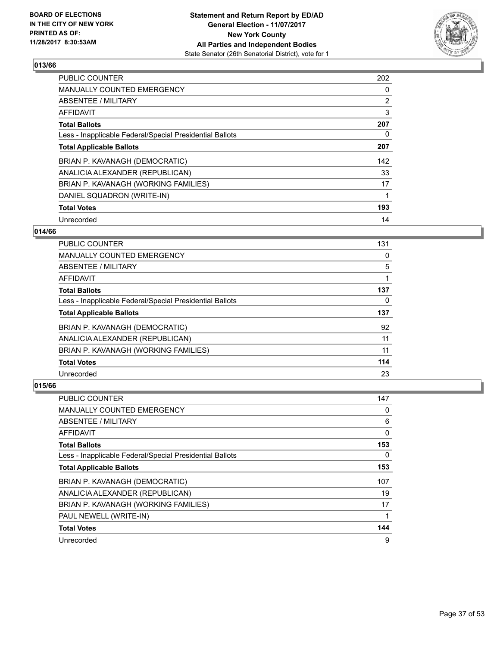

| <b>PUBLIC COUNTER</b>                                    | 202            |
|----------------------------------------------------------|----------------|
| <b>MANUALLY COUNTED EMERGENCY</b>                        | 0              |
| ABSENTEE / MILITARY                                      | $\overline{2}$ |
| AFFIDAVIT                                                | 3              |
| <b>Total Ballots</b>                                     | 207            |
| Less - Inapplicable Federal/Special Presidential Ballots | 0              |
| <b>Total Applicable Ballots</b>                          | 207            |
| BRIAN P. KAVANAGH (DEMOCRATIC)                           | 142            |
| ANALICIA ALEXANDER (REPUBLICAN)                          | 33             |
| BRIAN P. KAVANAGH (WORKING FAMILIES)                     | 17             |
| DANIEL SQUADRON (WRITE-IN)                               |                |
| <b>Total Votes</b>                                       | 193            |
| Unrecorded                                               | 14             |

# **014/66**

| <b>PUBLIC COUNTER</b>                                    | 131 |
|----------------------------------------------------------|-----|
| <b>MANUALLY COUNTED EMERGENCY</b>                        | 0   |
| ABSENTEE / MILITARY                                      | 5   |
| <b>AFFIDAVIT</b>                                         |     |
| <b>Total Ballots</b>                                     | 137 |
| Less - Inapplicable Federal/Special Presidential Ballots | 0   |
| <b>Total Applicable Ballots</b>                          | 137 |
| BRIAN P. KAVANAGH (DEMOCRATIC)                           | 92  |
| ANALICIA ALEXANDER (REPUBLICAN)                          | 11  |
| BRIAN P. KAVANAGH (WORKING FAMILIES)                     | 11  |
| <b>Total Votes</b>                                       | 114 |
| Unrecorded                                               | 23  |

| <b>PUBLIC COUNTER</b>                                    | 147 |
|----------------------------------------------------------|-----|
| <b>MANUALLY COUNTED EMERGENCY</b>                        | 0   |
| ABSENTEE / MILITARY                                      | 6   |
| AFFIDAVIT                                                | 0   |
| <b>Total Ballots</b>                                     | 153 |
| Less - Inapplicable Federal/Special Presidential Ballots | 0   |
| <b>Total Applicable Ballots</b>                          | 153 |
| BRIAN P. KAVANAGH (DEMOCRATIC)                           | 107 |
| ANALICIA ALEXANDER (REPUBLICAN)                          | 19  |
| BRIAN P. KAVANAGH (WORKING FAMILIES)                     | 17  |
| PAUL NEWELL (WRITE-IN)                                   | 1   |
| <b>Total Votes</b>                                       | 144 |
| Unrecorded                                               | 9   |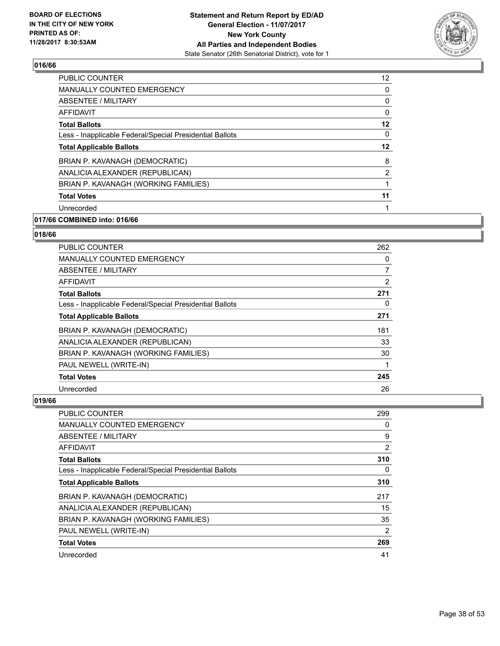

| <b>PUBLIC COUNTER</b>                                    | 12 |
|----------------------------------------------------------|----|
| <b>MANUALLY COUNTED EMERGENCY</b>                        | 0  |
| ABSENTEE / MILITARY                                      | 0  |
| AFFIDAVIT                                                | 0  |
| <b>Total Ballots</b>                                     | 12 |
| Less - Inapplicable Federal/Special Presidential Ballots | 0  |
| <b>Total Applicable Ballots</b>                          | 12 |
| BRIAN P. KAVANAGH (DEMOCRATIC)                           | 8  |
| ANALICIA ALEXANDER (REPUBLICAN)                          | 2  |
| BRIAN P. KAVANAGH (WORKING FAMILIES)                     |    |
| <b>Total Votes</b>                                       | 11 |
| Unrecorded                                               |    |
|                                                          |    |

# **017/66 COMBINED into: 016/66**

# **018/66**

| PUBLIC COUNTER                                           | 262 |
|----------------------------------------------------------|-----|
| <b>MANUALLY COUNTED EMERGENCY</b>                        | 0   |
| ABSENTEE / MILITARY                                      | 7   |
| <b>AFFIDAVIT</b>                                         | 2   |
| <b>Total Ballots</b>                                     | 271 |
| Less - Inapplicable Federal/Special Presidential Ballots | 0   |
| <b>Total Applicable Ballots</b>                          | 271 |
| BRIAN P. KAVANAGH (DEMOCRATIC)                           | 181 |
| ANALICIA ALEXANDER (REPUBLICAN)                          | 33  |
| BRIAN P. KAVANAGH (WORKING FAMILIES)                     | 30  |
| PAUL NEWELL (WRITE-IN)                                   |     |
| <b>Total Votes</b>                                       | 245 |
| Unrecorded                                               | 26  |

| <b>PUBLIC COUNTER</b>                                    | 299      |
|----------------------------------------------------------|----------|
| <b>MANUALLY COUNTED EMERGENCY</b>                        | 0        |
| ABSENTEE / MILITARY                                      | 9        |
| AFFIDAVIT                                                | 2        |
| <b>Total Ballots</b>                                     | 310      |
| Less - Inapplicable Federal/Special Presidential Ballots | $\Omega$ |
| <b>Total Applicable Ballots</b>                          | 310      |
| BRIAN P. KAVANAGH (DEMOCRATIC)                           | 217      |
| ANALICIA ALEXANDER (REPUBLICAN)                          | 15       |
| BRIAN P. KAVANAGH (WORKING FAMILIES)                     | 35       |
| PAUL NEWELL (WRITE-IN)                                   | 2        |
| <b>Total Votes</b>                                       | 269      |
| Unrecorded                                               | 41       |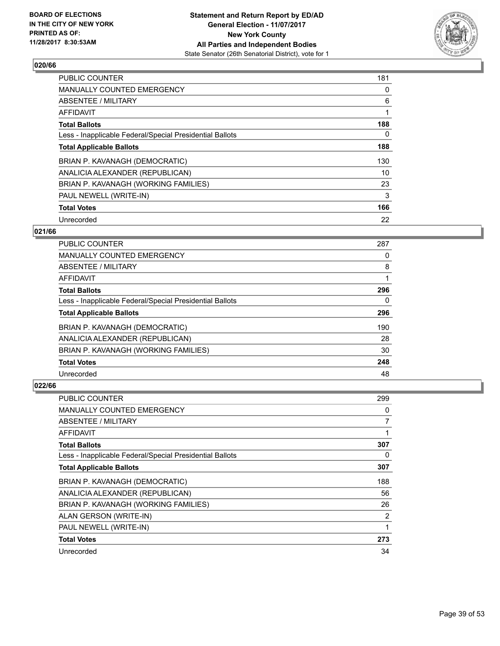

| <b>PUBLIC COUNTER</b>                                    | 181 |
|----------------------------------------------------------|-----|
| <b>MANUALLY COUNTED EMERGENCY</b>                        | 0   |
| ABSENTEE / MILITARY                                      | 6   |
| AFFIDAVIT                                                |     |
| <b>Total Ballots</b>                                     | 188 |
| Less - Inapplicable Federal/Special Presidential Ballots | 0   |
| <b>Total Applicable Ballots</b>                          | 188 |
| BRIAN P. KAVANAGH (DEMOCRATIC)                           | 130 |
| ANALICIA ALEXANDER (REPUBLICAN)                          | 10  |
| BRIAN P. KAVANAGH (WORKING FAMILIES)                     | 23  |
| PAUL NEWELL (WRITE-IN)                                   | 3   |
| <b>Total Votes</b>                                       | 166 |
| Unrecorded                                               | 22  |

# **021/66**

| <b>PUBLIC COUNTER</b>                                    | 287 |
|----------------------------------------------------------|-----|
| <b>MANUALLY COUNTED EMERGENCY</b>                        | 0   |
| ABSENTEE / MILITARY                                      | 8   |
| AFFIDAVIT                                                |     |
| <b>Total Ballots</b>                                     | 296 |
| Less - Inapplicable Federal/Special Presidential Ballots | 0   |
| <b>Total Applicable Ballots</b>                          | 296 |
| BRIAN P. KAVANAGH (DEMOCRATIC)                           | 190 |
| ANALICIA ALEXANDER (REPUBLICAN)                          | 28  |
| BRIAN P. KAVANAGH (WORKING FAMILIES)                     | 30  |
| <b>Total Votes</b>                                       | 248 |
| Unrecorded                                               | 48  |

| <b>PUBLIC COUNTER</b>                                    | 299 |
|----------------------------------------------------------|-----|
| <b>MANUALLY COUNTED EMERGENCY</b>                        | 0   |
| ABSENTEE / MILITARY                                      | 7   |
| AFFIDAVIT                                                |     |
| <b>Total Ballots</b>                                     | 307 |
| Less - Inapplicable Federal/Special Presidential Ballots | 0   |
| <b>Total Applicable Ballots</b>                          | 307 |
| BRIAN P. KAVANAGH (DEMOCRATIC)                           | 188 |
| ANALICIA ALEXANDER (REPUBLICAN)                          | 56  |
| BRIAN P. KAVANAGH (WORKING FAMILIES)                     | 26  |
| ALAN GERSON (WRITE-IN)                                   | 2   |
| PAUL NEWELL (WRITE-IN)                                   | 1   |
| <b>Total Votes</b>                                       | 273 |
| Unrecorded                                               | 34  |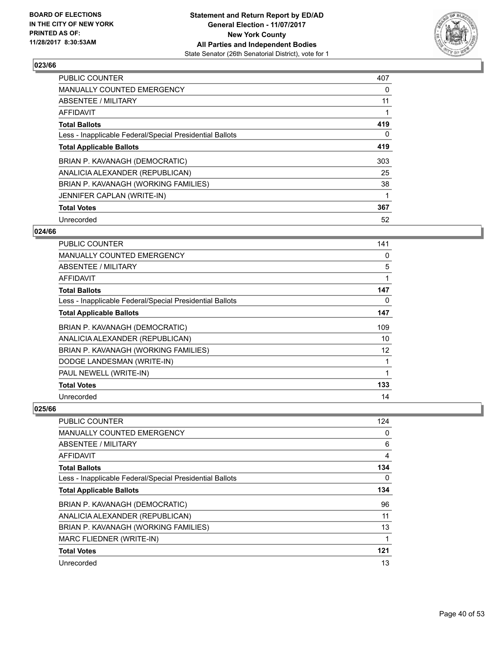

| <b>PUBLIC COUNTER</b>                                    | 407 |
|----------------------------------------------------------|-----|
| <b>MANUALLY COUNTED EMERGENCY</b>                        | 0   |
| ABSENTEE / MILITARY                                      | 11  |
| AFFIDAVIT                                                |     |
| <b>Total Ballots</b>                                     | 419 |
| Less - Inapplicable Federal/Special Presidential Ballots | 0   |
| <b>Total Applicable Ballots</b>                          | 419 |
| BRIAN P. KAVANAGH (DEMOCRATIC)                           | 303 |
| ANALICIA ALEXANDER (REPUBLICAN)                          | 25  |
| BRIAN P. KAVANAGH (WORKING FAMILIES)                     | 38  |
| JENNIFER CAPLAN (WRITE-IN)                               |     |
| <b>Total Votes</b>                                       | 367 |
| Unrecorded                                               | 52  |

# **024/66**

| <b>PUBLIC COUNTER</b>                                    | 141 |
|----------------------------------------------------------|-----|
| <b>MANUALLY COUNTED EMERGENCY</b>                        | 0   |
| ABSENTEE / MILITARY                                      | 5   |
| <b>AFFIDAVIT</b>                                         | 1   |
| <b>Total Ballots</b>                                     | 147 |
| Less - Inapplicable Federal/Special Presidential Ballots | 0   |
| <b>Total Applicable Ballots</b>                          | 147 |
| BRIAN P. KAVANAGH (DEMOCRATIC)                           | 109 |
| ANALICIA ALEXANDER (REPUBLICAN)                          | 10  |
| BRIAN P. KAVANAGH (WORKING FAMILIES)                     | 12  |
| DODGE LANDESMAN (WRITE-IN)                               | 1   |
| PAUL NEWELL (WRITE-IN)                                   | 1   |
| <b>Total Votes</b>                                       | 133 |
| Unrecorded                                               | 14  |

| <b>PUBLIC COUNTER</b>                                    | 124 |
|----------------------------------------------------------|-----|
| <b>MANUALLY COUNTED EMERGENCY</b>                        | 0   |
| ABSENTEE / MILITARY                                      | 6   |
| AFFIDAVIT                                                | 4   |
| <b>Total Ballots</b>                                     | 134 |
| Less - Inapplicable Federal/Special Presidential Ballots | 0   |
| <b>Total Applicable Ballots</b>                          | 134 |
| BRIAN P. KAVANAGH (DEMOCRATIC)                           | 96  |
| ANALICIA ALEXANDER (REPUBLICAN)                          | 11  |
| BRIAN P. KAVANAGH (WORKING FAMILIES)                     | 13  |
| MARC FLIEDNER (WRITE-IN)                                 |     |
| <b>Total Votes</b>                                       | 121 |
| Unrecorded                                               | 13  |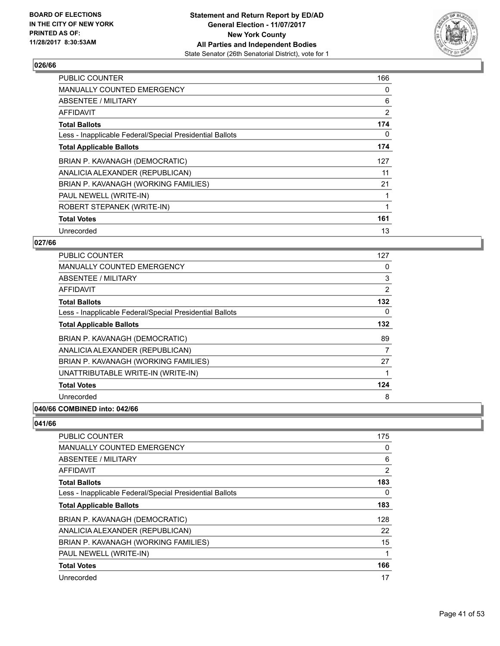

| <b>PUBLIC COUNTER</b>                                    | 166 |
|----------------------------------------------------------|-----|
| <b>MANUALLY COUNTED EMERGENCY</b>                        | 0   |
| <b>ABSENTEE / MILITARY</b>                               | 6   |
| AFFIDAVIT                                                | 2   |
| <b>Total Ballots</b>                                     | 174 |
| Less - Inapplicable Federal/Special Presidential Ballots | 0   |
| <b>Total Applicable Ballots</b>                          | 174 |
| BRIAN P. KAVANAGH (DEMOCRATIC)                           | 127 |
| ANALICIA ALEXANDER (REPUBLICAN)                          | 11  |
| BRIAN P. KAVANAGH (WORKING FAMILIES)                     | 21  |
| PAUL NEWELL (WRITE-IN)                                   |     |
| ROBERT STEPANEK (WRITE-IN)                               |     |
| <b>Total Votes</b>                                       | 161 |
| Unrecorded                                               | 13  |

# **027/66**

| PUBLIC COUNTER                                           | 127            |
|----------------------------------------------------------|----------------|
| <b>MANUALLY COUNTED EMERGENCY</b>                        | 0              |
| ABSENTEE / MILITARY                                      | 3              |
| AFFIDAVIT                                                | $\overline{2}$ |
| <b>Total Ballots</b>                                     | 132            |
| Less - Inapplicable Federal/Special Presidential Ballots | 0              |
| <b>Total Applicable Ballots</b>                          | 132            |
| BRIAN P. KAVANAGH (DEMOCRATIC)                           | 89             |
| ANALICIA ALEXANDER (REPUBLICAN)                          | 7              |
| BRIAN P. KAVANAGH (WORKING FAMILIES)                     | 27             |
| UNATTRIBUTABLE WRITE-IN (WRITE-IN)                       |                |
| <b>Total Votes</b>                                       | 124            |
| Unrecorded                                               | 8              |
|                                                          |                |

# **040/66 COMBINED into: 042/66**

| <b>PUBLIC COUNTER</b>                                    | 175 |
|----------------------------------------------------------|-----|
| <b>MANUALLY COUNTED EMERGENCY</b>                        | 0   |
| ABSENTEE / MILITARY                                      | 6   |
| AFFIDAVIT                                                | 2   |
| <b>Total Ballots</b>                                     | 183 |
| Less - Inapplicable Federal/Special Presidential Ballots | 0   |
| <b>Total Applicable Ballots</b>                          | 183 |
| BRIAN P. KAVANAGH (DEMOCRATIC)                           | 128 |
| ANALICIA ALEXANDER (REPUBLICAN)                          | 22  |
| BRIAN P. KAVANAGH (WORKING FAMILIES)                     | 15  |
| PAUL NEWELL (WRITE-IN)                                   | 1   |
| <b>Total Votes</b>                                       | 166 |
| Unrecorded                                               | 17  |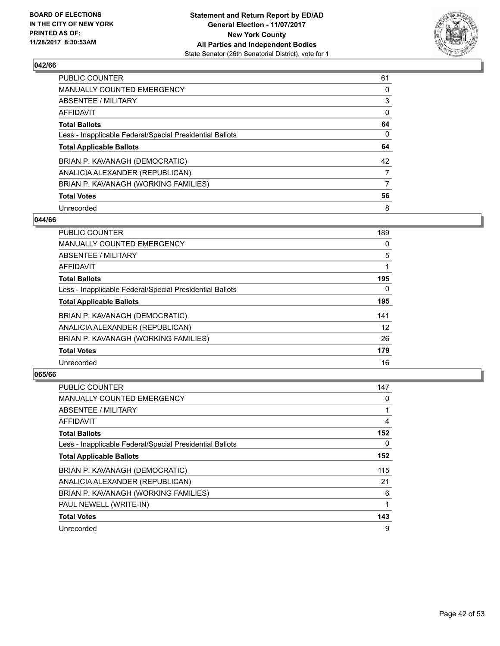

| <b>PUBLIC COUNTER</b>                                    | 61 |
|----------------------------------------------------------|----|
| <b>MANUALLY COUNTED EMERGENCY</b>                        | 0  |
| ABSENTEE / MILITARY                                      | 3  |
| AFFIDAVIT                                                | 0  |
| <b>Total Ballots</b>                                     | 64 |
| Less - Inapplicable Federal/Special Presidential Ballots | 0  |
| <b>Total Applicable Ballots</b>                          | 64 |
| BRIAN P. KAVANAGH (DEMOCRATIC)                           | 42 |
| ANALICIA ALEXANDER (REPUBLICAN)                          | 7  |
| BRIAN P. KAVANAGH (WORKING FAMILIES)                     | 7  |
| <b>Total Votes</b>                                       | 56 |
| Unrecorded                                               | 8  |

#### **044/66**

| <b>PUBLIC COUNTER</b>                                    | 189      |
|----------------------------------------------------------|----------|
| <b>MANUALLY COUNTED EMERGENCY</b>                        | 0        |
| ABSENTEE / MILITARY                                      | 5        |
| <b>AFFIDAVIT</b>                                         |          |
| <b>Total Ballots</b>                                     | 195      |
| Less - Inapplicable Federal/Special Presidential Ballots | $\Omega$ |
| <b>Total Applicable Ballots</b>                          | 195      |
| BRIAN P. KAVANAGH (DEMOCRATIC)                           | 141      |
| ANALICIA ALEXANDER (REPUBLICAN)                          | 12       |
| BRIAN P. KAVANAGH (WORKING FAMILIES)                     | 26       |
| <b>Total Votes</b>                                       | 179      |
| Unrecorded                                               | 16       |

| <b>PUBLIC COUNTER</b>                                    | 147         |
|----------------------------------------------------------|-------------|
| <b>MANUALLY COUNTED EMERGENCY</b>                        | 0           |
| ABSENTEE / MILITARY                                      | 1           |
| AFFIDAVIT                                                | 4           |
| <b>Total Ballots</b>                                     | 152         |
| Less - Inapplicable Federal/Special Presidential Ballots | 0           |
| <b>Total Applicable Ballots</b>                          | 152         |
| BRIAN P. KAVANAGH (DEMOCRATIC)                           | 115         |
| ANALICIA ALEXANDER (REPUBLICAN)                          | 21          |
| BRIAN P. KAVANAGH (WORKING FAMILIES)                     | 6           |
| PAUL NEWELL (WRITE-IN)                                   | $\mathbf 1$ |
| <b>Total Votes</b>                                       | 143         |
| Unrecorded                                               | 9           |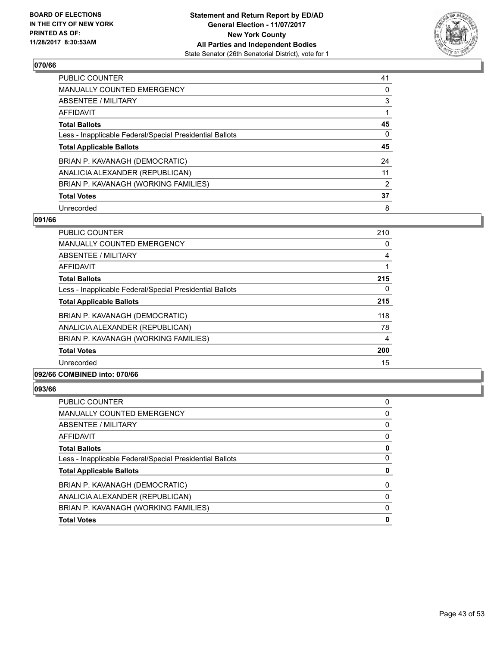

| PUBLIC COUNTER                                           | 41 |
|----------------------------------------------------------|----|
| <b>MANUALLY COUNTED EMERGENCY</b>                        | 0  |
| ABSENTEE / MILITARY                                      | 3  |
| AFFIDAVIT                                                |    |
| <b>Total Ballots</b>                                     | 45 |
| Less - Inapplicable Federal/Special Presidential Ballots | 0  |
| <b>Total Applicable Ballots</b>                          | 45 |
| BRIAN P. KAVANAGH (DEMOCRATIC)                           | 24 |
| ANALICIA ALEXANDER (REPUBLICAN)                          | 11 |
| BRIAN P. KAVANAGH (WORKING FAMILIES)                     | 2  |
| <b>Total Votes</b>                                       | 37 |
|                                                          |    |

#### **091/66**

| <b>PUBLIC COUNTER</b>                                    | 210 |
|----------------------------------------------------------|-----|
| <b>MANUALLY COUNTED EMERGENCY</b>                        | 0   |
| <b>ABSENTEE / MILITARY</b>                               | 4   |
| AFFIDAVIT                                                |     |
| <b>Total Ballots</b>                                     | 215 |
| Less - Inapplicable Federal/Special Presidential Ballots | 0   |
| <b>Total Applicable Ballots</b>                          | 215 |
| BRIAN P. KAVANAGH (DEMOCRATIC)                           | 118 |
| ANALICIA ALEXANDER (REPUBLICAN)                          | 78  |
| BRIAN P. KAVANAGH (WORKING FAMILIES)                     | 4   |
| <b>Total Votes</b>                                       | 200 |
| Unrecorded                                               | 15  |
|                                                          |     |

# **092/66 COMBINED into: 070/66**

| <b>Total Votes</b>                                       |   |
|----------------------------------------------------------|---|
| BRIAN P. KAVANAGH (WORKING FAMILIES)                     | 0 |
| ANALICIA ALEXANDER (REPUBLICAN)                          | O |
| BRIAN P. KAVANAGH (DEMOCRATIC)                           | 0 |
| <b>Total Applicable Ballots</b>                          | 0 |
| Less - Inapplicable Federal/Special Presidential Ballots |   |
| <b>Total Ballots</b>                                     |   |
| AFFIDAVIT                                                | 0 |
| <b>ABSENTEE / MILITARY</b>                               | 0 |
| <b>MANUALLY COUNTED EMERGENCY</b>                        | 0 |
| <b>PUBLIC COUNTER</b>                                    | 0 |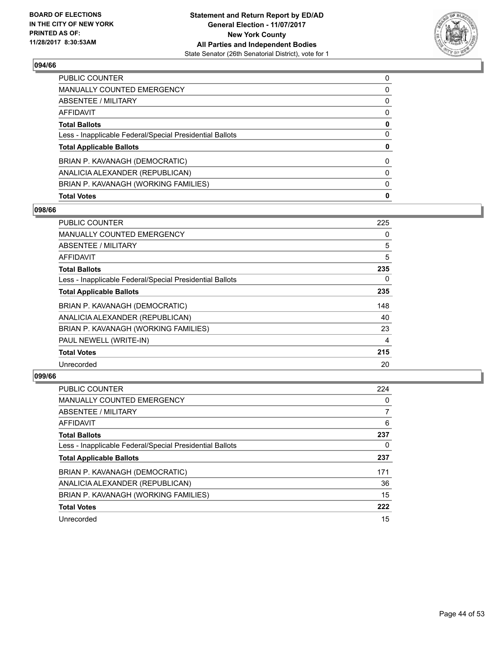

| <b>Total Votes</b>                                       | 0        |
|----------------------------------------------------------|----------|
| BRIAN P. KAVANAGH (WORKING FAMILIES)                     | 0        |
| ANALICIA ALEXANDER (REPUBLICAN)                          | 0        |
| BRIAN P. KAVANAGH (DEMOCRATIC)                           | $\Omega$ |
| <b>Total Applicable Ballots</b>                          | 0        |
| Less - Inapplicable Federal/Special Presidential Ballots | 0        |
| <b>Total Ballots</b>                                     | 0        |
| AFFIDAVIT                                                | 0        |
| ABSENTEE / MILITARY                                      | 0        |
| <b>MANUALLY COUNTED EMERGENCY</b>                        | 0        |
| <b>PUBLIC COUNTER</b>                                    | 0        |

# **098/66**

| <b>PUBLIC COUNTER</b>                                    | 225 |
|----------------------------------------------------------|-----|
| <b>MANUALLY COUNTED EMERGENCY</b>                        | 0   |
| ABSENTEE / MILITARY                                      | 5   |
| AFFIDAVIT                                                | 5   |
| <b>Total Ballots</b>                                     | 235 |
| Less - Inapplicable Federal/Special Presidential Ballots | 0   |
| <b>Total Applicable Ballots</b>                          | 235 |
| BRIAN P. KAVANAGH (DEMOCRATIC)                           | 148 |
| ANALICIA ALEXANDER (REPUBLICAN)                          | 40  |
| BRIAN P. KAVANAGH (WORKING FAMILIES)                     | 23  |
| PAUL NEWELL (WRITE-IN)                                   | 4   |
| <b>Total Votes</b>                                       | 215 |
| Unrecorded                                               | 20  |

| <b>PUBLIC COUNTER</b>                                    | 224 |
|----------------------------------------------------------|-----|
| <b>MANUALLY COUNTED EMERGENCY</b>                        | 0   |
| ABSENTEE / MILITARY                                      |     |
| AFFIDAVIT                                                | 6   |
| <b>Total Ballots</b>                                     | 237 |
| Less - Inapplicable Federal/Special Presidential Ballots | 0   |
| <b>Total Applicable Ballots</b>                          | 237 |
| BRIAN P. KAVANAGH (DEMOCRATIC)                           | 171 |
| ANALICIA ALEXANDER (REPUBLICAN)                          | 36  |
| BRIAN P. KAVANAGH (WORKING FAMILIES)                     | 15  |
| <b>Total Votes</b>                                       | 222 |
| Unrecorded                                               | 15  |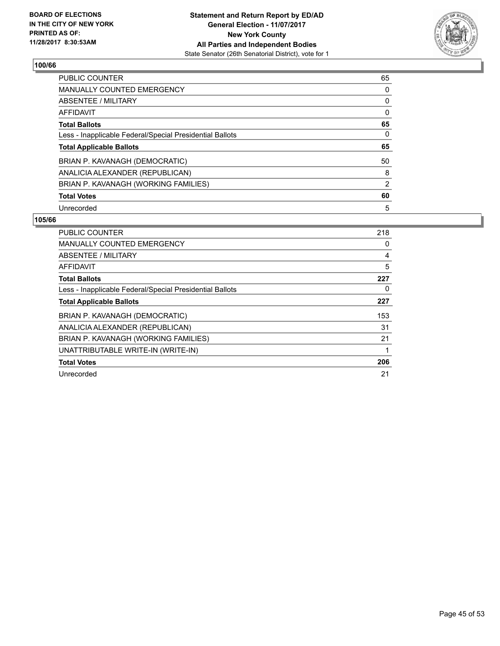

| <b>PUBLIC COUNTER</b>                                    | 65 |
|----------------------------------------------------------|----|
| <b>MANUALLY COUNTED EMERGENCY</b>                        | 0  |
| ABSENTEE / MILITARY                                      | 0  |
| <b>AFFIDAVIT</b>                                         | 0  |
| <b>Total Ballots</b>                                     | 65 |
| Less - Inapplicable Federal/Special Presidential Ballots | 0  |
| <b>Total Applicable Ballots</b>                          | 65 |
| BRIAN P. KAVANAGH (DEMOCRATIC)                           | 50 |
| ANALICIA ALEXANDER (REPUBLICAN)                          | 8  |
| BRIAN P. KAVANAGH (WORKING FAMILIES)                     | 2  |
| <b>Total Votes</b>                                       | 60 |
|                                                          |    |

| <b>PUBLIC COUNTER</b>                                    | 218 |
|----------------------------------------------------------|-----|
| <b>MANUALLY COUNTED EMERGENCY</b>                        | 0   |
| ABSENTEE / MILITARY                                      | 4   |
| AFFIDAVIT                                                | 5   |
| <b>Total Ballots</b>                                     | 227 |
| Less - Inapplicable Federal/Special Presidential Ballots | 0   |
| <b>Total Applicable Ballots</b>                          | 227 |
| BRIAN P. KAVANAGH (DEMOCRATIC)                           | 153 |
| ANALICIA ALEXANDER (REPUBLICAN)                          | 31  |
| BRIAN P. KAVANAGH (WORKING FAMILIES)                     | 21  |
| UNATTRIBUTABLE WRITE-IN (WRITE-IN)                       | 1   |
| <b>Total Votes</b>                                       | 206 |
| Unrecorded                                               | 21  |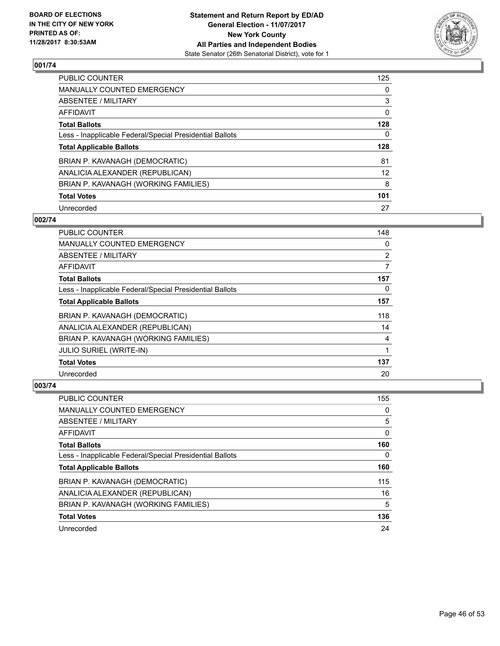

| <b>PUBLIC COUNTER</b>                                    | 125 |
|----------------------------------------------------------|-----|
| MANUALLY COUNTED EMERGENCY                               | 0   |
| ABSENTEE / MILITARY                                      | 3   |
| AFFIDAVIT                                                | 0   |
| <b>Total Ballots</b>                                     | 128 |
| Less - Inapplicable Federal/Special Presidential Ballots | 0   |
| <b>Total Applicable Ballots</b>                          | 128 |
| BRIAN P. KAVANAGH (DEMOCRATIC)                           | 81  |
| ANALICIA ALEXANDER (REPUBLICAN)                          | 12  |
| BRIAN P. KAVANAGH (WORKING FAMILIES)                     | 8   |
| <b>Total Votes</b>                                       | 101 |
| Unrecorded                                               | 27  |

# **002/74**

| <b>PUBLIC COUNTER</b>                                    | 148 |
|----------------------------------------------------------|-----|
| <b>MANUALLY COUNTED EMERGENCY</b>                        | 0   |
| ABSENTEE / MILITARY                                      | 2   |
| AFFIDAVIT                                                | 7   |
| <b>Total Ballots</b>                                     | 157 |
| Less - Inapplicable Federal/Special Presidential Ballots | 0   |
| <b>Total Applicable Ballots</b>                          | 157 |
| BRIAN P. KAVANAGH (DEMOCRATIC)                           | 118 |
| ANALICIA ALEXANDER (REPUBLICAN)                          | 14  |
| BRIAN P. KAVANAGH (WORKING FAMILIES)                     | 4   |
| <b>JULIO SURIEL (WRITE-IN)</b>                           | 1   |
| <b>Total Votes</b>                                       | 137 |
| Unrecorded                                               | 20  |

| <b>PUBLIC COUNTER</b>                                    | 155 |
|----------------------------------------------------------|-----|
| <b>MANUALLY COUNTED EMERGENCY</b>                        | 0   |
| ABSENTEE / MILITARY                                      | 5   |
| AFFIDAVIT                                                | 0   |
| <b>Total Ballots</b>                                     | 160 |
| Less - Inapplicable Federal/Special Presidential Ballots | 0   |
| <b>Total Applicable Ballots</b>                          | 160 |
| BRIAN P. KAVANAGH (DEMOCRATIC)                           | 115 |
| ANALICIA ALEXANDER (REPUBLICAN)                          | 16  |
| BRIAN P. KAVANAGH (WORKING FAMILIES)                     | 5   |
|                                                          |     |
| <b>Total Votes</b>                                       | 136 |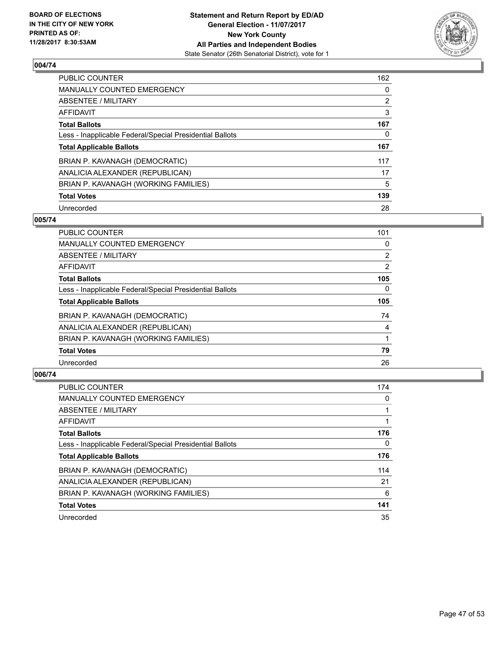

| <b>PUBLIC COUNTER</b>                                    | 162            |
|----------------------------------------------------------|----------------|
| MANUALLY COUNTED EMERGENCY                               | 0              |
| ABSENTEE / MILITARY                                      | $\overline{2}$ |
| AFFIDAVIT                                                | 3              |
| <b>Total Ballots</b>                                     | 167            |
| Less - Inapplicable Federal/Special Presidential Ballots | 0              |
| <b>Total Applicable Ballots</b>                          | 167            |
| BRIAN P. KAVANAGH (DEMOCRATIC)                           | 117            |
| ANALICIA ALEXANDER (REPUBLICAN)                          | 17             |
| BRIAN P. KAVANAGH (WORKING FAMILIES)                     | 5              |
| <b>Total Votes</b>                                       | 139            |
| Unrecorded                                               | 28             |

# **005/74**

| <b>PUBLIC COUNTER</b>                                    | 101            |
|----------------------------------------------------------|----------------|
| <b>MANUALLY COUNTED EMERGENCY</b>                        | 0              |
| ABSENTEE / MILITARY                                      | $\overline{2}$ |
| <b>AFFIDAVIT</b>                                         | 2              |
| <b>Total Ballots</b>                                     | 105            |
| Less - Inapplicable Federal/Special Presidential Ballots | $\Omega$       |
| <b>Total Applicable Ballots</b>                          | 105            |
| BRIAN P. KAVANAGH (DEMOCRATIC)                           | 74             |
| ANALICIA ALEXANDER (REPUBLICAN)                          | 4              |
| BRIAN P. KAVANAGH (WORKING FAMILIES)                     |                |
| <b>Total Votes</b>                                       | 79             |
| Unrecorded                                               | 26             |

| <b>PUBLIC COUNTER</b>                                    | 174 |
|----------------------------------------------------------|-----|
| <b>MANUALLY COUNTED EMERGENCY</b>                        | 0   |
| ABSENTEE / MILITARY                                      |     |
| AFFIDAVIT                                                |     |
| <b>Total Ballots</b>                                     | 176 |
| Less - Inapplicable Federal/Special Presidential Ballots | 0   |
| <b>Total Applicable Ballots</b>                          | 176 |
| BRIAN P. KAVANAGH (DEMOCRATIC)                           | 114 |
| ANALICIA ALEXANDER (REPUBLICAN)                          | 21  |
| BRIAN P. KAVANAGH (WORKING FAMILIES)                     | 6   |
| <b>Total Votes</b>                                       | 141 |
| Unrecorded                                               | 35  |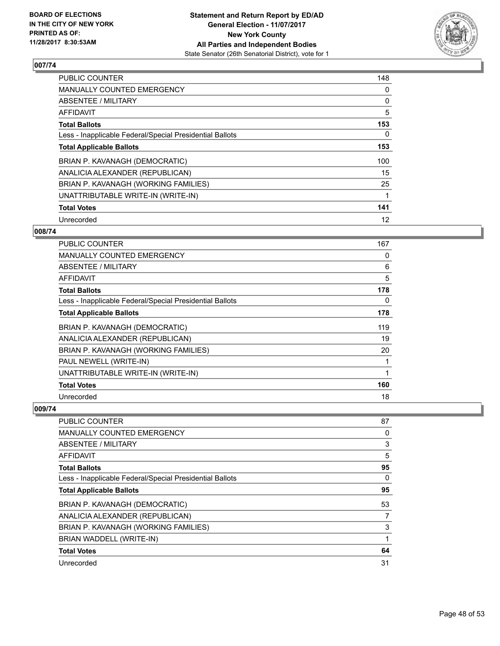

| <b>PUBLIC COUNTER</b>                                    | 148 |
|----------------------------------------------------------|-----|
| <b>MANUALLY COUNTED EMERGENCY</b>                        | 0   |
| ABSENTEE / MILITARY                                      | 0   |
| AFFIDAVIT                                                | 5   |
| <b>Total Ballots</b>                                     | 153 |
| Less - Inapplicable Federal/Special Presidential Ballots | 0   |
| <b>Total Applicable Ballots</b>                          | 153 |
| BRIAN P. KAVANAGH (DEMOCRATIC)                           | 100 |
| ANALICIA ALEXANDER (REPUBLICAN)                          | 15  |
| BRIAN P. KAVANAGH (WORKING FAMILIES)                     | 25  |
| UNATTRIBUTABLE WRITE-IN (WRITE-IN)                       |     |
| <b>Total Votes</b>                                       | 141 |
| Unrecorded                                               | 12  |

#### **008/74**

| <b>PUBLIC COUNTER</b>                                    | 167 |
|----------------------------------------------------------|-----|
| <b>MANUALLY COUNTED EMERGENCY</b>                        | 0   |
| ABSENTEE / MILITARY                                      | 6   |
| AFFIDAVIT                                                | 5   |
| <b>Total Ballots</b>                                     | 178 |
| Less - Inapplicable Federal/Special Presidential Ballots | 0   |
| <b>Total Applicable Ballots</b>                          | 178 |
| BRIAN P. KAVANAGH (DEMOCRATIC)                           | 119 |
| ANALICIA ALEXANDER (REPUBLICAN)                          | 19  |
| BRIAN P. KAVANAGH (WORKING FAMILIES)                     | 20  |
| PAUL NEWELL (WRITE-IN)                                   | 1   |
| UNATTRIBUTABLE WRITE-IN (WRITE-IN)                       | 1   |
| <b>Total Votes</b>                                       | 160 |
| Unrecorded                                               | 18  |

| <b>PUBLIC COUNTER</b>                                    | 87 |
|----------------------------------------------------------|----|
| <b>MANUALLY COUNTED EMERGENCY</b>                        | 0  |
| ABSENTEE / MILITARY                                      | 3  |
| AFFIDAVIT                                                | 5  |
| <b>Total Ballots</b>                                     | 95 |
| Less - Inapplicable Federal/Special Presidential Ballots | 0  |
| <b>Total Applicable Ballots</b>                          | 95 |
| BRIAN P. KAVANAGH (DEMOCRATIC)                           | 53 |
| ANALICIA ALEXANDER (REPUBLICAN)                          | 7  |
| BRIAN P. KAVANAGH (WORKING FAMILIES)                     | 3  |
| BRIAN WADDELL (WRITE-IN)                                 |    |
| <b>Total Votes</b>                                       | 64 |
| Unrecorded                                               | 31 |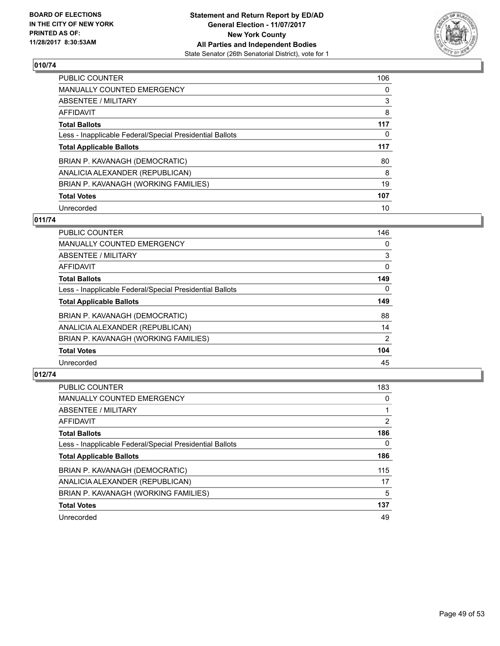

| <b>PUBLIC COUNTER</b>                                    | 106 |
|----------------------------------------------------------|-----|
| <b>MANUALLY COUNTED EMERGENCY</b>                        | 0   |
| ABSENTEE / MILITARY                                      | 3   |
| AFFIDAVIT                                                | 8   |
| <b>Total Ballots</b>                                     | 117 |
| Less - Inapplicable Federal/Special Presidential Ballots | 0   |
| <b>Total Applicable Ballots</b>                          | 117 |
| BRIAN P. KAVANAGH (DEMOCRATIC)                           | 80  |
| ANALICIA ALEXANDER (REPUBLICAN)                          | 8   |
| BRIAN P. KAVANAGH (WORKING FAMILIES)                     | 19  |
| <b>Total Votes</b>                                       | 107 |
| Unrecorded                                               | 10  |

# **011/74**

| <b>PUBLIC COUNTER</b>                                    | 146      |
|----------------------------------------------------------|----------|
| <b>MANUALLY COUNTED EMERGENCY</b>                        | 0        |
| ABSENTEE / MILITARY                                      | 3        |
| <b>AFFIDAVIT</b>                                         | $\Omega$ |
| <b>Total Ballots</b>                                     | 149      |
| Less - Inapplicable Federal/Special Presidential Ballots | $\Omega$ |
| <b>Total Applicable Ballots</b>                          | 149      |
| BRIAN P. KAVANAGH (DEMOCRATIC)                           | 88       |
| ANALICIA ALEXANDER (REPUBLICAN)                          | 14       |
| BRIAN P. KAVANAGH (WORKING FAMILIES)                     | 2        |
| <b>Total Votes</b>                                       | 104      |
| Unrecorded                                               | 45       |

| <b>PUBLIC COUNTER</b>                                    | 183            |
|----------------------------------------------------------|----------------|
| <b>MANUALLY COUNTED EMERGENCY</b>                        | 0              |
| ABSENTEE / MILITARY                                      |                |
| AFFIDAVIT                                                | $\overline{2}$ |
| <b>Total Ballots</b>                                     | 186            |
| Less - Inapplicable Federal/Special Presidential Ballots | 0              |
| <b>Total Applicable Ballots</b>                          | 186            |
| BRIAN P. KAVANAGH (DEMOCRATIC)                           | 115            |
| ANALICIA ALEXANDER (REPUBLICAN)                          | 17             |
| BRIAN P. KAVANAGH (WORKING FAMILIES)                     | 5              |
| <b>Total Votes</b>                                       | 137            |
| Unrecorded                                               | 49             |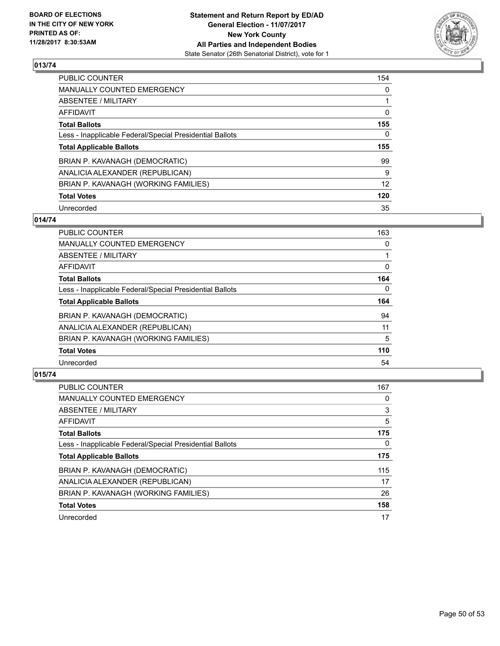

| <b>PUBLIC COUNTER</b>                                    | 154 |
|----------------------------------------------------------|-----|
| MANUALLY COUNTED EMERGENCY                               | 0   |
| ABSENTEE / MILITARY                                      |     |
| AFFIDAVIT                                                | 0   |
| <b>Total Ballots</b>                                     | 155 |
| Less - Inapplicable Federal/Special Presidential Ballots | 0   |
| <b>Total Applicable Ballots</b>                          | 155 |
| BRIAN P. KAVANAGH (DEMOCRATIC)                           | 99  |
| ANALICIA ALEXANDER (REPUBLICAN)                          | 9   |
| BRIAN P. KAVANAGH (WORKING FAMILIES)                     | 12  |
| <b>Total Votes</b>                                       | 120 |
| Unrecorded                                               | 35  |

# **014/74**

| <b>PUBLIC COUNTER</b>                                    | 163      |
|----------------------------------------------------------|----------|
| MANUALLY COUNTED EMERGENCY                               | 0        |
| ABSENTEE / MILITARY                                      |          |
| <b>AFFIDAVIT</b>                                         | 0        |
| <b>Total Ballots</b>                                     | 164      |
| Less - Inapplicable Federal/Special Presidential Ballots | $\Omega$ |
| <b>Total Applicable Ballots</b>                          | 164      |
| BRIAN P. KAVANAGH (DEMOCRATIC)                           | 94       |
| ANALICIA ALEXANDER (REPUBLICAN)                          | 11       |
| BRIAN P. KAVANAGH (WORKING FAMILIES)                     | 5        |
| <b>Total Votes</b>                                       | 110      |
| Unrecorded                                               | 54       |

| PUBLIC COUNTER                                           | 167 |
|----------------------------------------------------------|-----|
| <b>MANUALLY COUNTED EMERGENCY</b>                        | 0   |
| ABSENTEE / MILITARY                                      | 3   |
| AFFIDAVIT                                                | 5   |
| <b>Total Ballots</b>                                     | 175 |
| Less - Inapplicable Federal/Special Presidential Ballots | 0   |
| <b>Total Applicable Ballots</b>                          | 175 |
| BRIAN P. KAVANAGH (DEMOCRATIC)                           | 115 |
| ANALICIA ALEXANDER (REPUBLICAN)                          | 17  |
| BRIAN P. KAVANAGH (WORKING FAMILIES)                     | 26  |
| <b>Total Votes</b>                                       | 158 |
| Unrecorded                                               | 17  |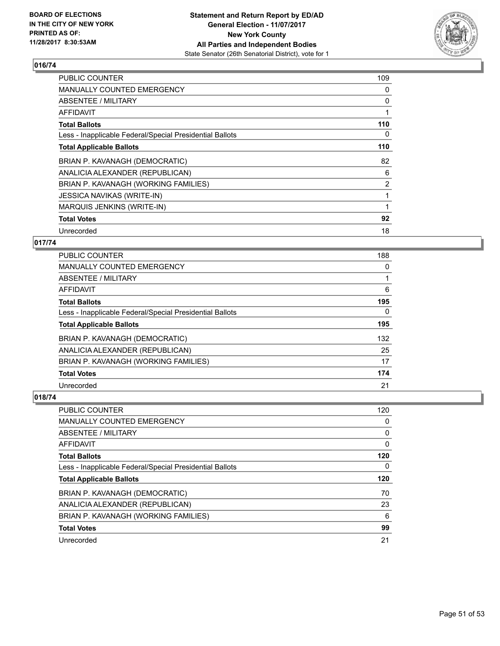

| <b>PUBLIC COUNTER</b>                                    | 109            |
|----------------------------------------------------------|----------------|
| <b>MANUALLY COUNTED EMERGENCY</b>                        | 0              |
| <b>ABSENTEE / MILITARY</b>                               | 0              |
| AFFIDAVIT                                                |                |
| <b>Total Ballots</b>                                     | 110            |
| Less - Inapplicable Federal/Special Presidential Ballots | 0              |
| <b>Total Applicable Ballots</b>                          | 110            |
| BRIAN P. KAVANAGH (DEMOCRATIC)                           | 82             |
| ANALICIA ALEXANDER (REPUBLICAN)                          | 6              |
| BRIAN P. KAVANAGH (WORKING FAMILIES)                     | $\overline{2}$ |
| <b>JESSICA NAVIKAS (WRITE-IN)</b>                        |                |
| <b>MARQUIS JENKINS (WRITE-IN)</b>                        |                |
| <b>Total Votes</b>                                       | 92             |
|                                                          |                |

# **017/74**

| <b>PUBLIC COUNTER</b>                                    | 188 |
|----------------------------------------------------------|-----|
| <b>MANUALLY COUNTED EMERGENCY</b>                        | 0   |
| ABSENTEE / MILITARY                                      |     |
| AFFIDAVIT                                                | 6   |
| <b>Total Ballots</b>                                     | 195 |
| Less - Inapplicable Federal/Special Presidential Ballots | 0   |
| <b>Total Applicable Ballots</b>                          | 195 |
| BRIAN P. KAVANAGH (DEMOCRATIC)                           | 132 |
| ANALICIA ALEXANDER (REPUBLICAN)                          | 25  |
| BRIAN P. KAVANAGH (WORKING FAMILIES)                     | 17  |
| <b>Total Votes</b>                                       | 174 |
| Unrecorded                                               | 21  |

| <b>PUBLIC COUNTER</b>                                    | 120 |
|----------------------------------------------------------|-----|
| <b>MANUALLY COUNTED EMERGENCY</b>                        | 0   |
| ABSENTEE / MILITARY                                      | 0   |
| AFFIDAVIT                                                | 0   |
| <b>Total Ballots</b>                                     | 120 |
| Less - Inapplicable Federal/Special Presidential Ballots | 0   |
| <b>Total Applicable Ballots</b>                          | 120 |
|                                                          |     |
| BRIAN P. KAVANAGH (DEMOCRATIC)                           | 70  |
| ANALICIA ALEXANDER (REPUBLICAN)                          | 23  |
| BRIAN P. KAVANAGH (WORKING FAMILIES)                     | 6   |
| <b>Total Votes</b>                                       | 99  |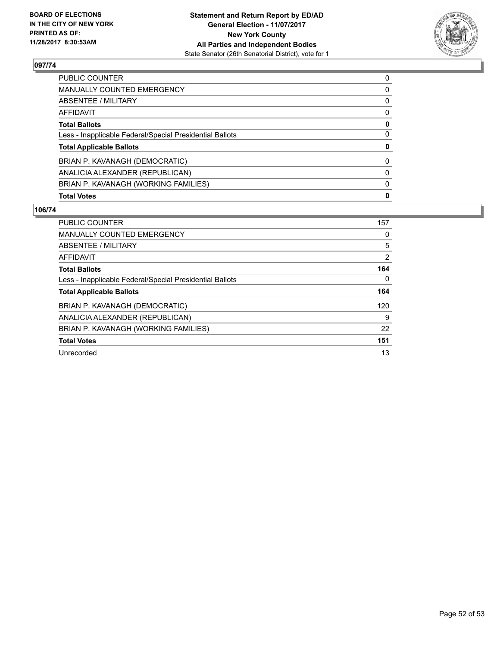

| <b>PUBLIC COUNTER</b>                                    | 0        |
|----------------------------------------------------------|----------|
| <b>MANUALLY COUNTED EMERGENCY</b>                        | 0        |
| ABSENTEE / MILITARY                                      | 0        |
| AFFIDAVIT                                                | 0        |
| <b>Total Ballots</b>                                     | 0        |
| Less - Inapplicable Federal/Special Presidential Ballots | 0        |
| <b>Total Applicable Ballots</b>                          | 0        |
| BRIAN P. KAVANAGH (DEMOCRATIC)                           | $\Omega$ |
| ANALICIA ALEXANDER (REPUBLICAN)                          | 0        |
| BRIAN P. KAVANAGH (WORKING FAMILIES)                     | 0        |
| <b>Total Votes</b>                                       | 0        |

| PUBLIC COUNTER                                           | 157 |
|----------------------------------------------------------|-----|
| <b>MANUALLY COUNTED EMERGENCY</b>                        | 0   |
| ABSENTEE / MILITARY                                      | 5   |
| AFFIDAVIT                                                | 2   |
| <b>Total Ballots</b>                                     | 164 |
| Less - Inapplicable Federal/Special Presidential Ballots | 0   |
| <b>Total Applicable Ballots</b>                          | 164 |
| BRIAN P. KAVANAGH (DEMOCRATIC)                           | 120 |
| ANALICIA ALEXANDER (REPUBLICAN)                          | 9   |
| BRIAN P. KAVANAGH (WORKING FAMILIES)                     | 22  |
| <b>Total Votes</b>                                       | 151 |
| Unrecorded                                               | 13  |